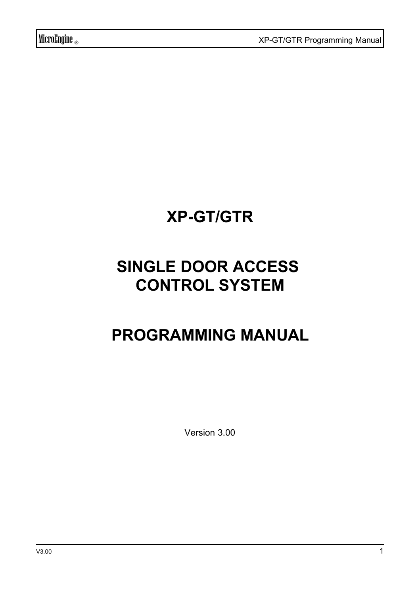# **XP-GT/GTR**

# **SINGLE DOOR ACCESS CONTROL SYSTEM**

# **PROGRAMMING MANUAL**

Version 3.00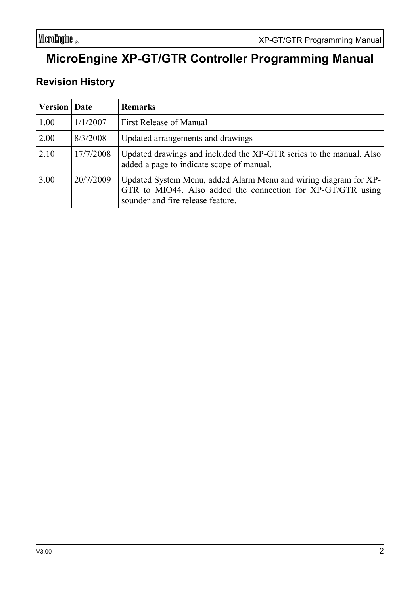## **MicroEngine XP-GT/GTR Controller Programming Manual**

#### **Revision History**

| <b>Version</b> Date |           | <b>Remarks</b>                                                                                                                                                       |
|---------------------|-----------|----------------------------------------------------------------------------------------------------------------------------------------------------------------------|
| 1.00                | 1/1/2007  | First Release of Manual                                                                                                                                              |
| 2.00                | 8/3/2008  | Updated arrangements and drawings                                                                                                                                    |
| 2.10                | 17/7/2008 | Updated drawings and included the XP-GTR series to the manual. Also<br>added a page to indicate scope of manual.                                                     |
| 3.00                | 20/7/2009 | Updated System Menu, added Alarm Menu and wiring diagram for XP-<br>GTR to MIO44. Also added the connection for XP-GT/GTR using<br>sounder and fire release feature. |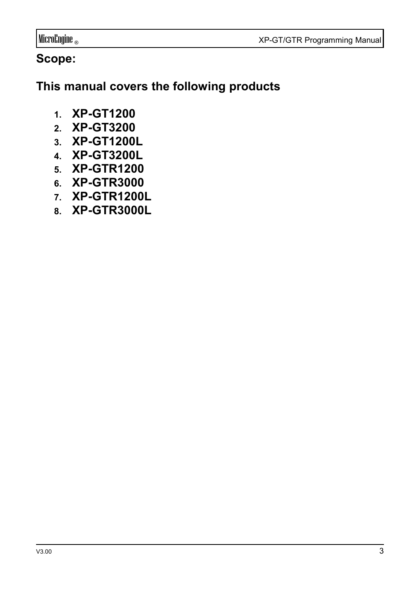MicroEngine ® XP-GT/GTR Programming Manual

## **Scope:**

**This manual covers the following products**

- **1. XP-GT1200**
- **2. XP-GT3200**
- **3. XP-GT1200L**
- **4. XP-GT3200L**
- **5. XP-GTR1200**
- **6. XP-GTR3000**
- **7. XP-GTR1200L**
- **8. XP-GTR3000L**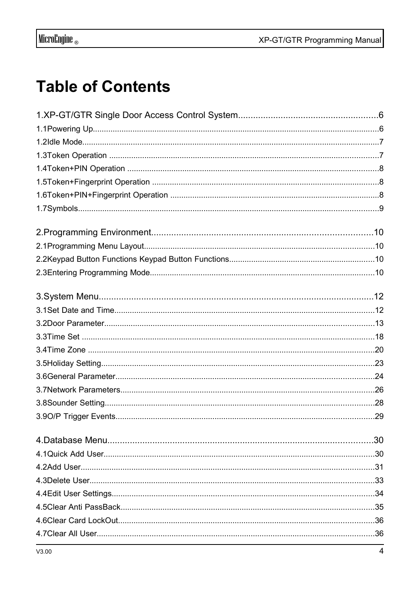# **Table of Contents**

| V3.00 | 4 |
|-------|---|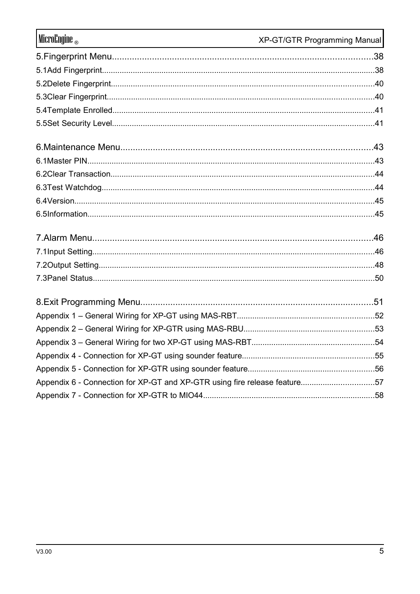| MicroEngine                                                               | XP-GT/GTR Programming Manual |
|---------------------------------------------------------------------------|------------------------------|
|                                                                           |                              |
|                                                                           |                              |
|                                                                           |                              |
|                                                                           |                              |
|                                                                           |                              |
|                                                                           |                              |
|                                                                           |                              |
|                                                                           |                              |
|                                                                           |                              |
|                                                                           |                              |
|                                                                           |                              |
|                                                                           |                              |
|                                                                           |                              |
|                                                                           |                              |
|                                                                           |                              |
|                                                                           |                              |
|                                                                           |                              |
|                                                                           |                              |
|                                                                           |                              |
|                                                                           |                              |
|                                                                           |                              |
|                                                                           |                              |
| Appendix 6 - Connection for XP-GT and XP-GTR using fire release feature57 |                              |
|                                                                           |                              |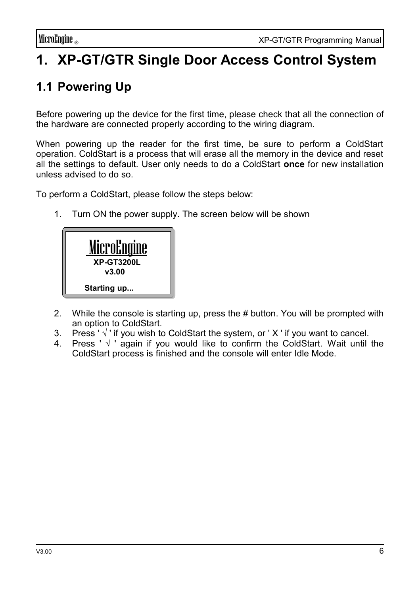# **1. XP-GT/GTR Single Door Access Control System**

## **1.1 Powering Up**

Before powering up the device for the first time, please check that all the connection of the hardware are connected properly according to the wiring diagram.

When powering up the reader for the first time, be sure to perform a ColdStart operation. ColdStart is a process that will erase all the memory in the device and reset all the settings to default. User only needs to do a ColdStart **once** for new installation unless advised to do so.

To perform a ColdStart, please follow the steps below:

1. Turn ON the power supply. The screen below will be shown



- 2. While the console is starting up, press the # button. You will be prompted with an option to ColdStart.
- 3. Press ' $\sqrt{ }$ ' if you wish to ColdStart the system, or 'X' if you want to cancel.
- 4. Press ' √ ' again if you would like to confirm the ColdStart. Wait until the ColdStart process is finished and the console will enter Idle Mode.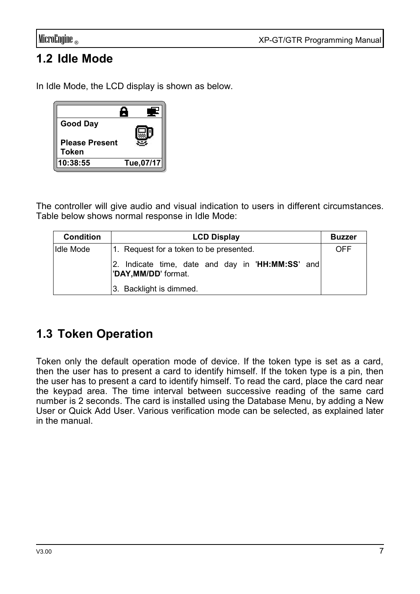## **1.2 Idle Mode**

In Idle Mode, the LCD display is shown as below.

| <b>Good Day</b>                |            |
|--------------------------------|------------|
| <b>Please Present</b><br>Token |            |
| 10:38:55                       | Tue, 07/17 |

The controller will give audio and visual indication to users in different circumstances. Table below shows normal response in Idle Mode:

| <b>Condition</b> | <b>LCD Display</b>                                                       | <b>Buzzer</b> |
|------------------|--------------------------------------------------------------------------|---------------|
| Idle Mode        | 1. Request for a token to be presented.                                  | OFF           |
|                  | 2. Indicate time, date and day in 'HH:MM:SS' and<br>"DAY, MM/DD' format. |               |
|                  | 3. Backlight is dimmed.                                                  |               |

## **1.3 Token Operation**

Token only the default operation mode of device. If the token type is set as a card, then the user has to present a card to identify himself. If the token type is a pin, then the user has to present a card to identify himself. To read the card, place the card near the keypad area. The time interval between successive reading of the same card number is 2 seconds. The card is installed using the Database Menu, by adding a New User or Quick Add User. Various verification mode can be selected, as explained later in the manual.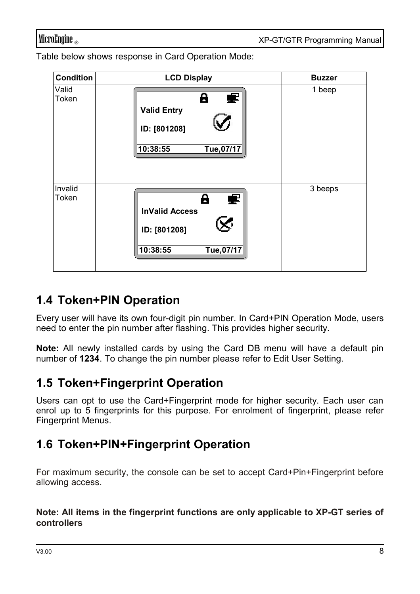Table below shows response in Card Operation Mode:

| Condition        | <b>LCD Display</b>                                                              | <b>Buzzer</b> |
|------------------|---------------------------------------------------------------------------------|---------------|
| Valid<br>Token   | θ<br>Ŧ<br><b>Valid Entry</b><br>ID: [801208]<br>Tue, 07/17<br>10:38:55          | 1 beep        |
| Invalid<br>Token | Α<br>£<br><b>InValid Access</b><br>रु<br>ID: [801208]<br>Tue, 07/17<br>10:38:55 | 3 beeps       |

## **1.4 Token+PIN Operation**

Every user will have its own four-digit pin number. In Card+PIN Operation Mode, users need to enter the pin number after flashing. This provides higher security.

**Note:** All newly installed cards by using the Card DB menu will have a default pin number of **1234**. To change the pin number please refer to Edit User Setting.

### **1.5 Token+Fingerprint Operation**

Users can opt to use the Card+Fingerprint mode for higher security. Each user can enrol up to 5 fingerprints for this purpose. For enrolment of fingerprint, please refer Fingerprint Menus.

## **1.6 Token+PIN+Fingerprint Operation**

For maximum security, the console can be set to accept Card+Pin+Fingerprint before allowing access.

#### **Note: All items in the fingerprint functions are only applicable to XP-GT series of controllers**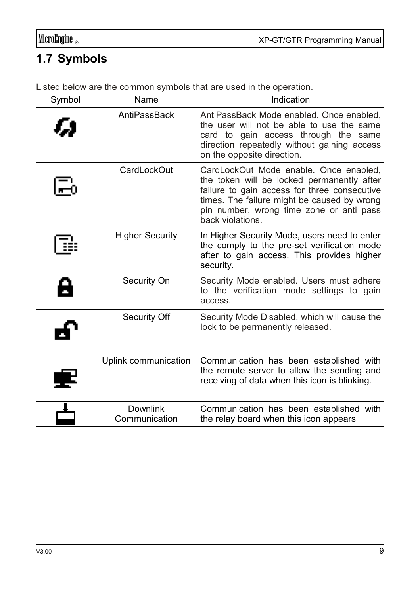# **1.7 Symbols**

| Symbol | Name                      | Indication                                                                                                                                                                                                                                          |
|--------|---------------------------|-----------------------------------------------------------------------------------------------------------------------------------------------------------------------------------------------------------------------------------------------------|
|        | AntiPassBack              | AntiPassBack Mode enabled. Once enabled,<br>the user will not be able to use the same<br>card to gain access through the same<br>direction repeatedly without gaining access<br>on the opposite direction.                                          |
|        | CardLockOut               | CardLockOut Mode enable. Once enabled,<br>the token will be locked permanently after<br>failure to gain access for three consecutive<br>times. The failure might be caused by wrong<br>pin number, wrong time zone or anti pass<br>back violations. |
|        | <b>Higher Security</b>    | In Higher Security Mode, users need to enter<br>the comply to the pre-set verification mode<br>after to gain access. This provides higher<br>security.                                                                                              |
|        | Security On               | Security Mode enabled. Users must adhere<br>to the verification mode settings to gain<br>access.                                                                                                                                                    |
|        | Security Off              | Security Mode Disabled, which will cause the<br>lock to be permanently released.                                                                                                                                                                    |
|        | Uplink communication      | Communication has been established with<br>the remote server to allow the sending and<br>receiving of data when this icon is blinking.                                                                                                              |
|        | Downlink<br>Communication | Communication has been established with<br>the relay board when this icon appears                                                                                                                                                                   |

Listed below are the common symbols that are used in the operation.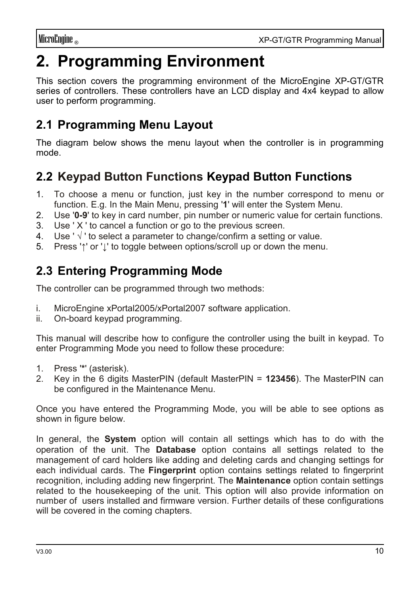# **2. Programming Environment**

This section covers the programming environment of the MicroEngine XP-GT/GTR series of controllers. These controllers have an LCD display and 4x4 keypad to allow user to perform programming.

## **2.1 Programming Menu Layout**

The diagram below shows the menu layout when the controller is in programming mode.

## **2.2 Keypad Button Functions Keypad Button Functions**

- 1. To choose a menu or function, just key in the number correspond to menu or function. E.g. In the Main Menu, pressing '**1**' will enter the System Menu.
- 2. Use '**0-9**' to key in card number, pin number or numeric value for certain functions.
- 3. Use ' X ' to cancel a function or go to the previous screen.
- 4. Use ' $\sqrt{ }$ ' to select a parameter to change/confirm a setting or value.
- 5. Press '**↑**' or '**↓**' to toggle between options/scroll up or down the menu.

## **2.3 Entering Programming Mode**

The controller can be programmed through two methods:

- i. MicroEngine xPortal2005/xPortal2007 software application.
- ii. On-board keypad programming.

This manual will describe how to configure the controller using the built in keypad. To enter Programming Mode you need to follow these procedure:

- 1. Press '**\***' (asterisk).
- 2. Key in the 6 digits MasterPIN (default MasterPIN = **123456**). The MasterPIN can be configured in the Maintenance Menu.

Once you have entered the Programming Mode, you will be able to see options as shown in figure below.

In general, the **System** option will contain all settings which has to do with the operation of the unit. The **Database** option contains all settings related to the management of card holders like adding and deleting cards and changing settings for each individual cards. The **Fingerprint** option contains settings related to fingerprint recognition, including adding new fingerprint. The **Maintenance** option contain settings related to the housekeeping of the unit. This option will also provide information on number of users installed and firmware version. Further details of these configurations will be covered in the coming chapters.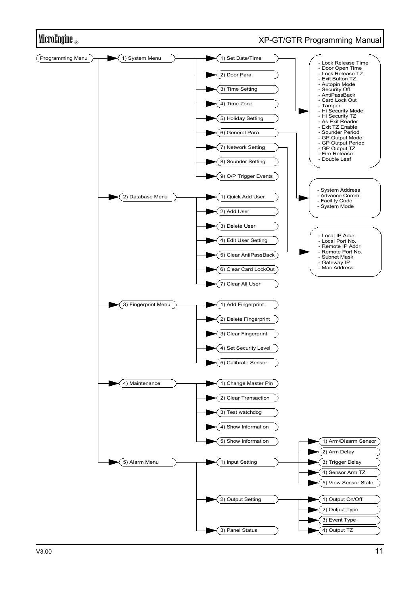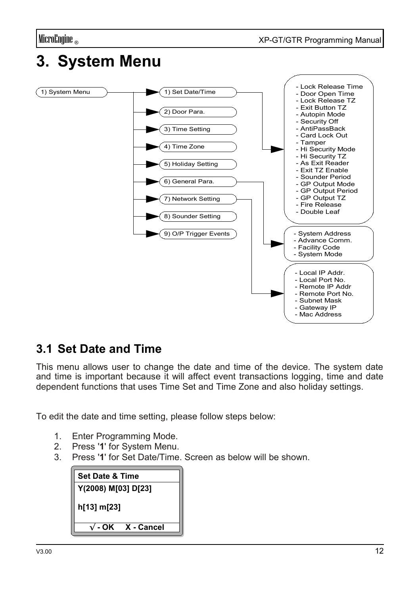# **3. System Menu**



### **3.1 Set Date and Time**

This menu allows user to change the date and time of the device. The system date and time is important because it will affect event transactions logging, time and date dependent functions that uses Time Set and Time Zone and also holiday settings.

To edit the date and time setting, please follow steps below:

- 1. Enter Programming Mode.
- 2. Press '**1**' for System Menu.
- 3. Press '**1**' for Set Date/Time. Screen as below will be shown.

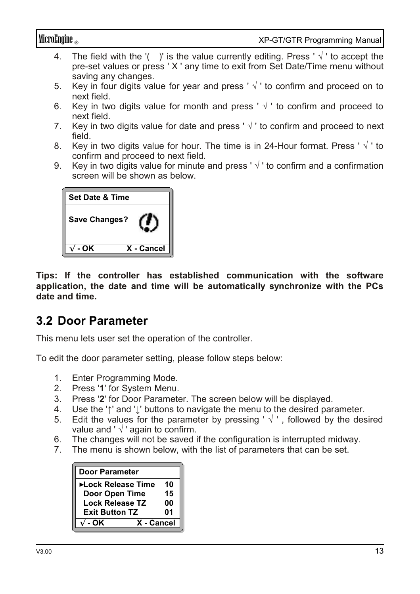- 4. The field with the '( )' is the value currently editing. Press ' $\sqrt{ }$ ' to accept the pre-set values or press ' X ' any time to exit from Set Date/Time menu without saving any changes.
- 5. Key in four digits value for year and press ' $\sqrt{ }$ ' to confirm and proceed on to next field.
- 6. Key in two digits value for month and press ' $\sqrt{ }$ ' to confirm and proceed to next field.
- 7. Key in two digits value for date and press  $\sqrt{ }$  to confirm and proceed to next field.
- 8. Key in two digits value for hour. The time is in 24-Hour format. Press ' $\sqrt{ }$ ' to confirm and proceed to next field.
- 9. Key in two digits value for minute and press ' $\sqrt{ }$ ' to confirm and a confirmation screen will be shown as below.

| <b>Set Date &amp; Time</b> |            |
|----------------------------|------------|
| Save Changes?              |            |
| - OK                       | X - Cancel |

**Tips: If the controller has established communication with the software application, the date and time will be automatically synchronize with the PCs date and time.**

#### **3.2 Door Parameter**

This menu lets user set the operation of the controller.

To edit the door parameter setting, please follow steps below:

- 1. Enter Programming Mode.
- 2. Press '**1**' for System Menu.
- 3. Press '**2**' for Door Parameter. The screen below will be displayed.
- 4. Use the '**↑**' and '**↓**' buttons to navigate the menu to the desired parameter.
- 5. Edit the values for the parameter by pressing ' $\sqrt{ }$ ', followed by the desired value and ' $\sqrt{ }$ ' again to confirm.
- 6. The changes will not be saved if the configuration is interrupted midway.
- 7. The menu is shown below, with the list of parameters that can be set.

| <b>Door Parameter</b> |    |
|-----------------------|----|
| ▶Lock Release Time    | 10 |
| Door Open Time        | 15 |
| Lock Release TZ       | 00 |
| <b>Exit Button TZ</b> | 01 |
| X - Cancel<br>- OK    |    |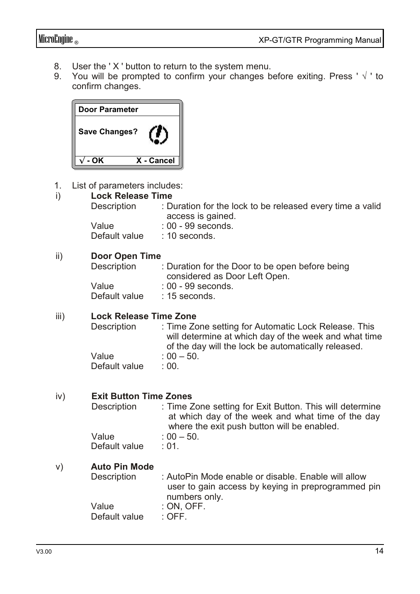- 8. User the 'X' button to return to the system menu.<br>9. You will be prompted to confirm your changes b
- You will be prompted to confirm your changes before exiting. Press '  $\sqrt{ }$  ' to confirm changes.

| Door Parameter       |            |
|----------------------|------------|
| <b>Save Changes?</b> |            |
| - OK                 | X - Cancel |

1. List of parameters includes:

#### i) **Lock Release Time**

| Description | : Duration for the lock to be released every time a valid |
|-------------|-----------------------------------------------------------|
|             | access is gained.                                         |
| Value       | : 00 - 99 seconds.                                        |

Default value : 10 seconds.

#### ii) **Door Open Time**

| Description   | : Duration for the Door to be open before being |
|---------------|-------------------------------------------------|
|               | considered as Door Left Open.                   |
| Value         | : 00 - 99 seconds.                              |
| Default value | $: 15$ seconds.                                 |

#### iii) **Lock Release Time Zone**

| Description   | : Time Zone setting for Automatic Lock Release. This  |
|---------------|-------------------------------------------------------|
|               | will determine at which day of the week and what time |
|               | of the day will the lock be automatically released.   |
| Value         | $: 00 - 50.$                                          |
| Default value | : 00.                                                 |

#### iv) **Exit Button Time Zones**

| Description   | : Time Zone setting for Exit Button. This will determine |
|---------------|----------------------------------------------------------|
|               | at which day of the week and what time of the day        |
|               | where the exit push button will be enabled.              |
| Value         | $: 00 - 50.$                                             |
| Default value | : 01.                                                    |

# v) **Auto Pin Mode**

: AutoPin Mode enable or disable. Enable will allow user to gain access by keying in preprogrammed pin numbers only. Value : ON, OFF.<br>Default value : OFF.

Default value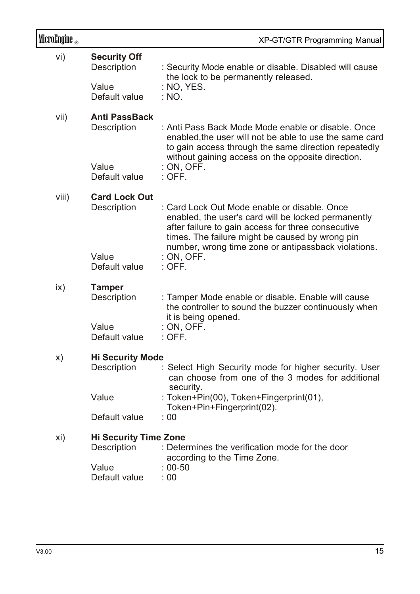| MicroEngine <sub>®</sub> |                                             | XP-GT/GTR Programming Manual                                                                                                                                                                                                                                        |
|--------------------------|---------------------------------------------|---------------------------------------------------------------------------------------------------------------------------------------------------------------------------------------------------------------------------------------------------------------------|
| vi)                      | <b>Security Off</b><br>Description<br>Value | : Security Mode enable or disable. Disabled will cause<br>the lock to be permanently released.<br>: NO, YES.                                                                                                                                                        |
|                          | Default value                               | : NO.                                                                                                                                                                                                                                                               |
| vii)                     | <b>Anti PassBack</b><br>Description         | : Anti Pass Back Mode Mode enable or disable. Once<br>enabled, the user will not be able to use the same card<br>to gain access through the same direction repeatedly                                                                                               |
|                          | Value<br>Default value                      | without gaining access on the opposite direction.<br>: ON, OFF.<br>$:$ OFF.                                                                                                                                                                                         |
| viii)                    | <b>Card Lock Out</b><br>Description         | : Card Lock Out Mode enable or disable. Once<br>enabled, the user's card will be locked permanently<br>after failure to gain access for three consecutive<br>times. The failure might be caused by wrong pin<br>number, wrong time zone or antipassback violations. |
|                          | Value<br>Default value                      | : ON, OFF.<br>$:$ OFF.                                                                                                                                                                                                                                              |
| ix)                      | <b>Tamper</b><br>Description                | : Tamper Mode enable or disable. Enable will cause<br>the controller to sound the buzzer continuously when<br>it is being opened.                                                                                                                                   |
|                          | Value<br>Default value                      | : ON, OFF.<br>$:$ OFF.                                                                                                                                                                                                                                              |
| X)                       | <b>Hi Security Mode</b><br>Description      | : Select High Security mode for higher security. User<br>can choose from one of the 3 modes for additional<br>security.                                                                                                                                             |
|                          | Value                                       | : Token+Pin(00), Token+Fingerprint(01),                                                                                                                                                                                                                             |
|                          | Default value                               | Token+Pin+Fingerprint(02).<br>: 00                                                                                                                                                                                                                                  |
| xi)                      | <b>Hi Security Time Zone</b><br>Description | : Determines the verification mode for the door<br>according to the Time Zone.                                                                                                                                                                                      |
|                          | Value<br>Default value                      | $: 00 - 50$<br>: 00                                                                                                                                                                                                                                                 |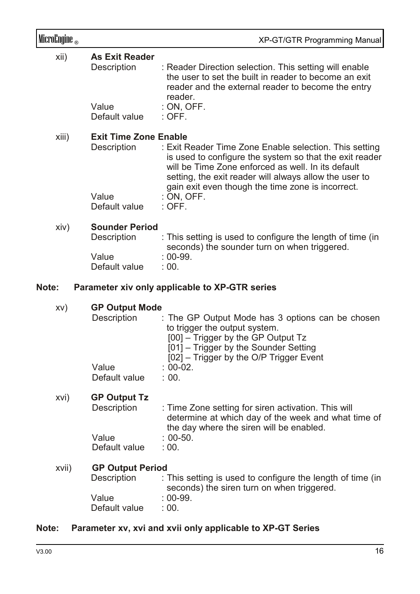| MicroEngine <sub>®</sub> |                                             | XP-GT/GTR Programming Manual                                                                                                                                                                                                                                                           |
|--------------------------|---------------------------------------------|----------------------------------------------------------------------------------------------------------------------------------------------------------------------------------------------------------------------------------------------------------------------------------------|
| xii)                     | <b>As Exit Reader</b><br>Description        | : Reader Direction selection. This setting will enable<br>the user to set the built in reader to become an exit<br>reader and the external reader to become the entry<br>reader.                                                                                                       |
|                          | Value<br>Default value                      | : ON, OFF.<br>$:$ OFF.                                                                                                                                                                                                                                                                 |
| xiii)                    | <b>Exit Time Zone Enable</b><br>Description | : Exit Reader Time Zone Enable selection. This setting<br>is used to configure the system so that the exit reader<br>will be Time Zone enforced as well. In its default<br>setting, the exit reader will always allow the user to<br>gain exit even though the time zone is incorrect. |
|                          | Value<br>Default value                      | : ON, OFF.<br>: OFF.                                                                                                                                                                                                                                                                   |
| xiv)                     | <b>Sounder Period</b><br>Description        | : This setting is used to configure the length of time (in<br>seconds) the sounder turn on when triggered.                                                                                                                                                                             |
|                          | Value<br>Default value                      | $: 00-99.$<br>: 00.                                                                                                                                                                                                                                                                    |
| Note:                    |                                             | Parameter xiv only applicable to XP-GTR series                                                                                                                                                                                                                                         |
| XV)                      | <b>GP Output Mode</b><br>Description        | : The GP Output Mode has 3 options can be chosen<br>to trigger the output system.<br>[00] - Trigger by the GP Output Tz<br>[01] - Trigger by the Sounder Setting<br>[02] - Trigger by the O/P Trigger Event                                                                            |
|                          | Value<br>Default value                      | $: 00-02.$<br>: 00.                                                                                                                                                                                                                                                                    |
| xvi)                     | <b>GP Output Tz</b><br>Description          | : Time Zone setting for siren activation. This will<br>determine at which day of the week and what time of<br>the day where the siren will be enabled.                                                                                                                                 |
|                          | Value<br>Default value                      | $: 00-50.$<br>: 00.                                                                                                                                                                                                                                                                    |
| xvii)                    | <b>GP Output Period</b><br>Description      | : This setting is used to configure the length of time (in<br>seconds) the siren turn on when triggered.                                                                                                                                                                               |
|                          | Value<br>Default value                      | $: 00-99.$<br>: 00.                                                                                                                                                                                                                                                                    |

#### **Note: Parameter xv, xvi and xvii only applicable to XP-GT Series**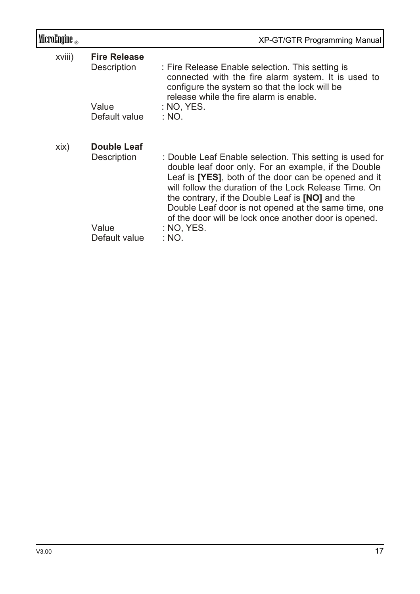| MicroEngine <sub>®</sub> |                                     | XP-GT/GTR Programming Manual                                                                                                                                                                                                                                                                                                                                                                                                        |
|--------------------------|-------------------------------------|-------------------------------------------------------------------------------------------------------------------------------------------------------------------------------------------------------------------------------------------------------------------------------------------------------------------------------------------------------------------------------------------------------------------------------------|
| xviii)                   | <b>Fire Release</b><br>Description  | : Fire Release Enable selection. This setting is<br>connected with the fire alarm system. It is used to<br>configure the system so that the lock will be<br>release while the fire alarm is enable.                                                                                                                                                                                                                                 |
|                          | Value<br>Default value              | : NO, YES.<br>: NO.                                                                                                                                                                                                                                                                                                                                                                                                                 |
| xix)                     | Double Leaf<br>Description<br>Value | : Double Leaf Enable selection. This setting is used for<br>double leaf door only. For an example, if the Double<br>Leaf is <b>[YES]</b> , both of the door can be opened and it<br>will follow the duration of the Lock Release Time. On<br>the contrary, if the Double Leaf is <b>[NO]</b> and the<br>Double Leaf door is not opened at the same time, one<br>of the door will be lock once another door is opened.<br>: NO. YES. |
|                          | Default value                       | : NO.                                                                                                                                                                                                                                                                                                                                                                                                                               |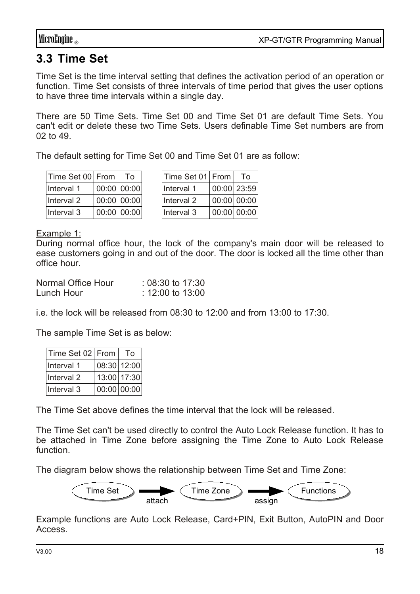## **3.3 Time Set**

Time Set is the time interval setting that defines the activation period of an operation or function. Time Set consists of three intervals of time period that gives the user options to have three time intervals within a single day.

There are 50 Time Sets. Time Set 00 and Time Set 01 are default Time Sets. You can't edit or delete these two Time Sets. Users definable Time Set numbers are from 02 to 49.

The default setting for Time Set 00 and Time Set 01 are as follow:

| Time Set 00 From | Т٥          |
|------------------|-------------|
| Interval 1       | 00:00 00:00 |
| Interval 2       | 00:00 00:00 |
| Interval 3       | 00:00 00:00 |

| Time Set 01   From |               | Т٥ |
|--------------------|---------------|----|
| Interval 1         | 00:00 23:59   |    |
| Interval 2         | $00:00$ 00:00 |    |
| Interval 3         | 00:00 00:00   |    |

Example 1:

During normal office hour, the lock of the company's main door will be released to ease customers going in and out of the door. The door is locked all the time other than office hour.

| Normal Office Hour | $: 08:30$ to 17:30 |
|--------------------|--------------------|
| Lunch Hour         | : 12:00 to 13:00   |

i.e. the lock will be released from 08:30 to 12:00 and from 13:00 to 17:30.

The sample Time Set is as below:

| Time Set 02 From      | Τo          |
|-----------------------|-------------|
| Interval 1            | 08:30 12:00 |
| Interval <sub>2</sub> | 13:00 17:30 |
| Interval 3            | 00:00 00:00 |

The Time Set above defines the time interval that the lock will be released.

The Time Set can't be used directly to control the Auto Lock Release function. It has to be attached in Time Zone before assigning the Time Zone to Auto Lock Release function.

The diagram below shows the relationship between Time Set and Time Zone:



Example functions are Auto Lock Release, Card+PIN, Exit Button, AutoPIN and Door Access.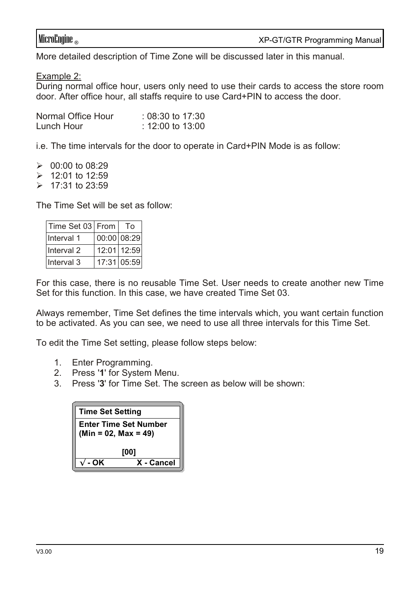More detailed description of Time Zone will be discussed later in this manual.

Example 2:

During normal office hour, users only need to use their cards to access the store room door. After office hour, all staffs require to use Card+PIN to access the door.

| Normal Office Hour | $: 08:30$ to 17:30 |
|--------------------|--------------------|
| Lunch Hour         | : 12:00 to 13:00   |

i.e. The time intervals for the door to operate in Card+PIN Mode is as follow:

 $\geq 00:00$  to 08:29  $\geq 12:01$  to 12:59

 $> 17:31$  to 23:59

The Time Set will be set as follow:

| Time Set 03 From | Tο          |
|------------------|-------------|
| Interval 1       | 00:00 08:29 |
| Interval 2       | 12:01 12:59 |
| Interval 3       | 17:31 05:59 |

For this case, there is no reusable Time Set. User needs to create another new Time Set for this function. In this case, we have created Time Set 03.

Always remember, Time Set defines the time intervals which, you want certain function to be activated. As you can see, we need to use all three intervals for this Time Set.

To edit the Time Set setting, please follow steps below:

- 1. Enter Programming.
- 2. Press '**1**' for System Menu.
- 3. Press '**3**' for Time Set. The screen as below will be shown:

| <b>Time Set Setting</b>                                |            |
|--------------------------------------------------------|------------|
| <b>Enter Time Set Number</b><br>$(Min = 02, Max = 49)$ |            |
| [00]                                                   |            |
| - OK                                                   | X - Cancel |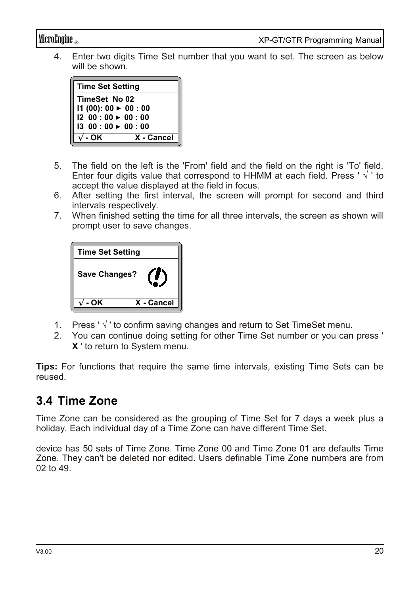4. Enter two digits Time Set number that you want to set. The screen as below will be shown.

| <b>Time Set Setting</b>     |                                    |  |  |  |
|-----------------------------|------------------------------------|--|--|--|
| TimeSet No 02               |                                    |  |  |  |
|                             | $11(00): 00 \triangleright 00: 00$ |  |  |  |
| $1200:00 \rightarrow 00:00$ |                                    |  |  |  |
| $1300:00 \rightarrow 00:00$ |                                    |  |  |  |
| √ - OK                      | X - Cancel                         |  |  |  |

- 5. The field on the left is the 'From' field and the field on the right is 'To' field. Enter four digits value that correspond to HHMM at each field. Press ' $\sqrt{ }$ ' to accept the value displayed at the field in focus.
- 6. After setting the first interval, the screen will prompt for second and third intervals respectively.
- 7. When finished setting the time for all three intervals, the screen as shown will prompt user to save changes.

| <b>Time Set Setting</b> |            |
|-------------------------|------------|
| <b>Save Changes?</b>    |            |
| - OK                    | X - Cancel |

- 1. Press ' √ ' to confirm saving changes and return to Set TimeSet menu.
- 2. You can continue doing setting for other Time Set number or you can press ' **X** ' to return to System menu.

**Tips:** For functions that require the same time intervals, existing Time Sets can be reused.

## **3.4 Time Zone**

Time Zone can be considered as the grouping of Time Set for 7 days a week plus a holiday. Each individual day of a Time Zone can have different Time Set.

device has 50 sets of Time Zone. Time Zone 00 and Time Zone 01 are defaults Time Zone. They can't be deleted nor edited. Users definable Time Zone numbers are from 02 to 49.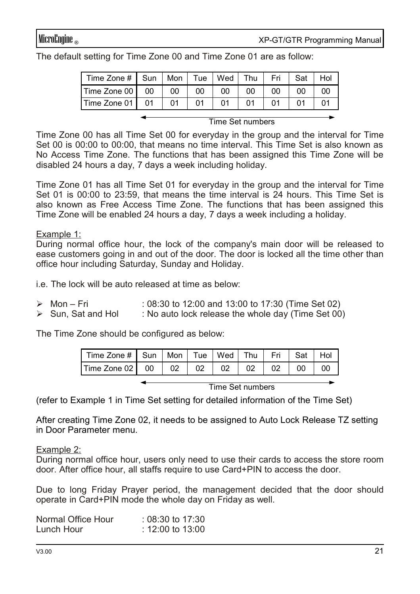The default setting for Time Zone 00 and Time Zone 01 are as follow:

|                                  |  | Time Zone #   Sun   Mon   Tue   Wed   Thu     | Fri I           | Sat I           | Hol |
|----------------------------------|--|-----------------------------------------------|-----------------|-----------------|-----|
| Time Zone 00   00   00   00   00 |  | 00                                            | 00 <sub>1</sub> | 00 <sub>1</sub> | 00  |
| Time Zone 01   01   01   01   01 |  | $\begin{array}{cc} \text{ } & 01 \end{array}$ | 01              |                 | 01  |

Time Set numbers

Time Zone 00 has all Time Set 00 for everyday in the group and the interval for Time Set 00 is 00:00 to 00:00, that means no time interval. This Time Set is also known as No Access Time Zone. The functions that has been assigned this Time Zone will be disabled 24 hours a day, 7 days a week including holiday.

Time Zone 01 has all Time Set 01 for everyday in the group and the interval for Time Set 01 is 00:00 to 23:59, that means the time interval is 24 hours. This Time Set is also known as Free Access Time Zone. The functions that has been assigned this Time Zone will be enabled 24 hours a day, 7 days a week including a holiday.

#### Example 1:

During normal office hour, the lock of the company's main door will be released to ease customers going in and out of the door. The door is locked all the time other than office hour including Saturday, Sunday and Holiday.

i.e. The lock will be auto released at time as below:

- $\triangleright$  Mon Fri : 08:30 to 12:00 and 13:00 to 17:30 (Time Set 02)
- $\triangleright$  Sun, Sat and Hol : No auto lock release the whole day (Time Set 00)

The Time Zone should be configured as below:

| Time Zone # Sun   Mon   Tue   Wed   Thu   Fri   Sat   Hol ' |  |  |  |  |
|-------------------------------------------------------------|--|--|--|--|
| Time Zone 02 00 02 02 02 02 02 02 00 00                     |  |  |  |  |

Time Set numbers

(refer to Example 1 in Time Set setting for detailed information of the Time Set)

After creating Time Zone 02, it needs to be assigned to Auto Lock Release TZ setting in Door Parameter menu.

Example 2:

During normal office hour, users only need to use their cards to access the store room door. After office hour, all staffs require to use Card+PIN to access the door.

Due to long Friday Prayer period, the management decided that the door should operate in Card+PIN mode the whole day on Friday as well.

| Normal Office Hour | $: 08:30$ to 17:30 |
|--------------------|--------------------|
| Lunch Hour         | : 12:00 to 13:00   |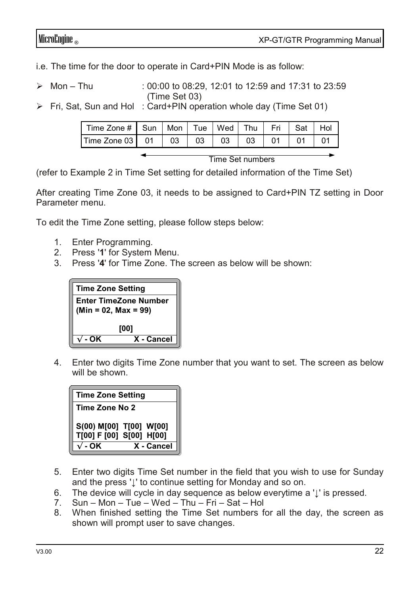MicroEngine ® XP-GT/GTR Programming Manual

i.e. The time for the door to operate in Card+PIN Mode is as follow:

- $\geq$  Mon Thu : 00:00 to 08:29, 12:01 to 12:59 and 17:31 to 23:59 (Time Set 03)
- ➢ Fri, Sat, Sun and Hol : Card+PIN operation whole day (Time Set 01)

| Time Zone # Sun   Mon   Tue   Wed   Thu   Fri   Sat   Hol |  |  |  |  |
|-----------------------------------------------------------|--|--|--|--|
| Time Zone 03  01  03  03  03  03  01  01                  |  |  |  |  |
|                                                           |  |  |  |  |

Time Set numbers

(refer to Example 2 in Time Set setting for detailed information of the Time Set)

After creating Time Zone 03, it needs to be assigned to Card+PIN TZ setting in Door Parameter menu.

To edit the Time Zone setting, please follow steps below:

- 1. Enter Programming.
- 2. Press '**1**' for System Menu.
- 3. Press '**4**' for Time Zone. The screen as below will be shown:



4. Enter two digits Time Zone number that you want to set. The screen as below will be shown.

| <b>Time Zone Setting</b> |                                                     |  |
|--------------------------|-----------------------------------------------------|--|
| Time Zone No 2           |                                                     |  |
|                          | S(00) M[00] T[00] W[00]<br>T[00] F [00] S[00] H[00] |  |
| - OK                     | X - Cancel                                          |  |

- 5. Enter two digits Time Set number in the field that you wish to use for Sunday and the press '**↓**' to continue setting for Monday and so on.
- 6. The device will cycle in day sequence as below everytime a '**↓**' is pressed.
- 7. Sun Mon Tue Wed Thu Fri Sat Hol
- 8. When finished setting the Time Set numbers for all the day, the screen as shown will prompt user to save changes.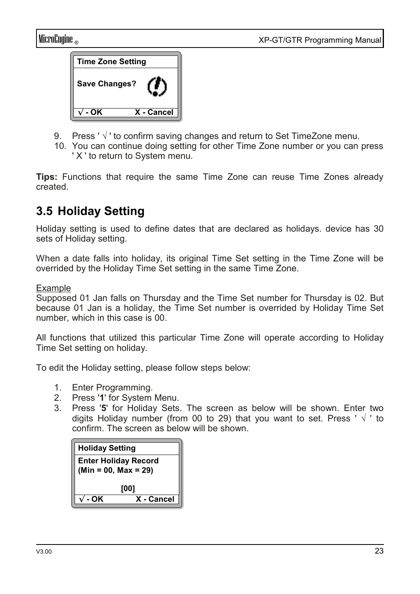

- 9. Press ' $\sqrt{ }$ ' to confirm saving changes and return to Set TimeZone menu.
- 10. You can continue doing setting for other Time Zone number or you can press ' X ' to return to System menu.

**Tips:** Functions that require the same Time Zone can reuse Time Zones already created.

## **3.5 Holiday Setting**

Holiday setting is used to define dates that are declared as holidays. device has 30 sets of Holiday setting.

When a date falls into holiday, its original Time Set setting in the Time Zone will be overrided by the Holiday Time Set setting in the same Time Zone.

#### Example

Supposed 01 Jan falls on Thursday and the Time Set number for Thursday is 02. But because 01 Jan is a holiday, the Time Set number is overrided by Holiday Time Set number, which in this case is 00.

All functions that utilized this particular Time Zone will operate according to Holiday Time Set setting on holiday.

To edit the Holiday setting, please follow steps below:

- 1. Enter Programming.
- 2. Press '**1**' for System Menu.
- 3. Press '**5**' for Holiday Sets. The screen as below will be shown. Enter two digits Holiday number (from 00 to 29) that you want to set. Press ' $\sqrt{ }$ ' to confirm. The screen as below will be shown.

| <b>Holiday Setting</b>                                |            |  |  |
|-------------------------------------------------------|------------|--|--|
| <b>Enter Holiday Record</b><br>$(Min = 00, Max = 29)$ |            |  |  |
| [00]                                                  |            |  |  |
| - OK                                                  | X - Cancel |  |  |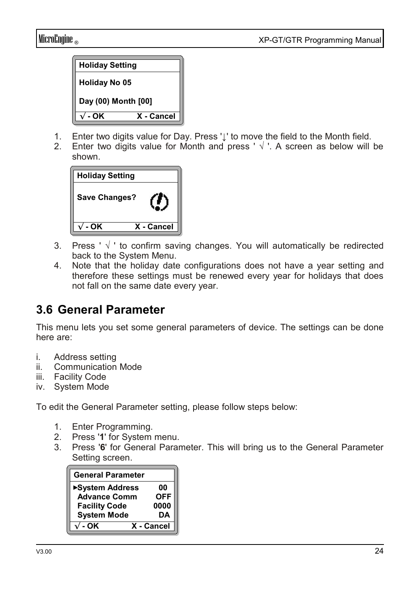

- 1. Enter two digits value for Day. Press '**↓**' to move the field to the Month field.
- Enter two digits value for Month and press '  $\sqrt{ }$  '. A screen as below will be shown.

| <b>Holiday Setting</b> |            |
|------------------------|------------|
| <b>Save Changes?</b>   |            |
| - OK                   | X - Cancel |

- 3. Press ' $\sqrt{ }$ ' to confirm saving changes. You will automatically be redirected back to the System Menu.
- 4. Note that the holiday date configurations does not have a year setting and therefore these settings must be renewed every year for holidays that does not fall on the same date every year.

### **3.6 General Parameter**

This menu lets you set some general parameters of device. The settings can be done here are:

- i. Address setting
- ii. Communication Mode
- iii. Facility Code
- iv. System Mode

To edit the General Parameter setting, please follow steps below:

- 1. Enter Programming.
- 2. Press '**1**' for System menu.
- 3. Press '**6**' for General Parameter. This will bring us to the General Parameter Setting screen.

| <b>General Parameter</b> |            |
|--------------------------|------------|
| ▶System Address          | 00         |
| <b>Advance Comm</b>      | <b>OFF</b> |
| <b>Facility Code</b>     | 0000       |
| <b>System Mode</b>       | DΑ         |
| $-OK$                    | X - Cancel |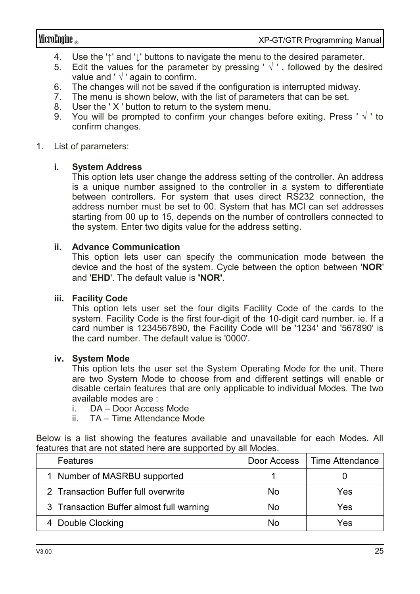- 4. Use the '**↑**' and '**↓**' buttons to navigate the menu to the desired parameter.
- 5. Edit the values for the parameter by pressing ' $\sqrt{ }$ '. followed by the desired value and ' $\sqrt{}$ ' again to confirm.
- 6. The changes will not be saved if the configuration is interrupted midway.
- 7. The menu is shown below, with the list of parameters that can be set.
- 8. User the ' X ' button to return to the system menu.
- 9. You will be prompted to confirm your changes before exiting. Press ' $\sqrt{ }$ ' to confirm changes.

#### 1. List of parameters:

#### **i. System Address**

This option lets user change the address setting of the controller. An address is a unique number assigned to the controller in a system to differentiate between controllers. For system that uses direct RS232 connection, the address number must be set to 00. System that has MCI can set addresses starting from 00 up to 15, depends on the number of controllers connected to the system. Enter two digits value for the address setting.

#### **ii. Advance Communication**

This option lets user can specify the communication mode between the device and the host of the system. Cycle between the option between '**NOR**' and '**EHD**'. The default value is **'NOR'**.

#### **iii. Facility Code**

This option lets user set the four digits Facility Code of the cards to the system. Facility Code is the first four-digit of the 10-digit card number. ie. If a card number is 1234567890, the Facility Code will be '1234' and '567890' is the card number. The default value is '0000'.

#### **iv. System Mode**

This option lets the user set the System Operating Mode for the unit. There are two System Mode to choose from and different settings will enable or disable certain features that are only applicable to individual Modes. The two available modes are :

- i. DA Door Access Mode
- ii. TA Time Attendance Mode

Below is a list showing the features available and unavailable for each Modes. All features that are not stated here are supported by all Modes.

| Features                                 | Door Access | ∣ Time Attendance |
|------------------------------------------|-------------|-------------------|
| 1 Number of MASRBU supported             |             |                   |
| 2 Transaction Buffer full overwrite      | No          | Yes               |
| 3 Transaction Buffer almost full warning | No          | Yes               |
| Double Clocking                          | No          | Yes               |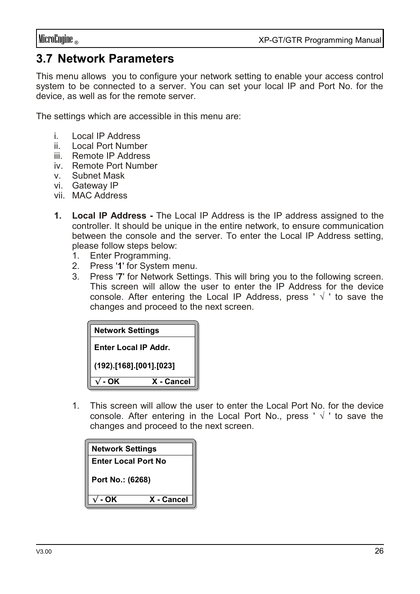### **3.7 Network Parameters**

This menu allows you to configure your network setting to enable your access control system to be connected to a server. You can set your local IP and Port No. for the device, as well as for the remote server.

The settings which are accessible in this menu are:

- i. Local IP Address
- ii. Local Port Number
- iii. Remote IP Address
- iv. Remote Port Number
- v. Subnet Mask
- vi. Gateway IP
- vii. MAC Address
- **1. Local IP Address** The Local IP Address is the IP address assigned to the controller. It should be unique in the entire network, to ensure communication between the console and the server. To enter the Local IP Address setting, please follow steps below:
	- 1. Enter Programming.
	- 2. Press '**1**' for System menu.
	- 3. Press '**7**' for Network Settings. This will bring you to the following screen. This screen will allow the user to enter the IP Address for the device console. After entering the Local IP Address, press ' $\sqrt{ }$ ' to save the changes and proceed to the next screen.

| <b>Network Settings</b>     |            |  |  |
|-----------------------------|------------|--|--|
| <b>Enter Local IP Addr.</b> |            |  |  |
| (192).[168].[001].[023]     |            |  |  |
| - OK                        | X - Cancel |  |  |

1. This screen will allow the user to enter the Local Port No. for the device console. After entering in the Local Port No., press ' $\sqrt{ }$ ' to save the changes and proceed to the next screen.

| <b>Network Settings</b>    |            |  |
|----------------------------|------------|--|
| <b>Enter Local Port No</b> |            |  |
| Port No.: (6268)           |            |  |
| - OK                       | X - Cancel |  |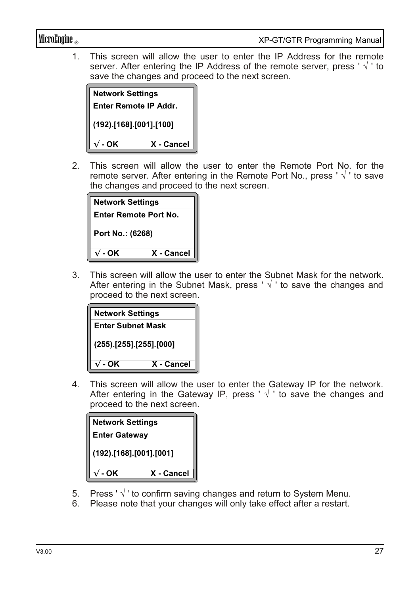1. This screen will allow the user to enter the IP Address for the remote server. After entering the IP Address of the remote server, press ' $\sqrt{ }$ ' to save the changes and proceed to the next screen.

| <b>Network Settings</b> |            |  |
|-------------------------|------------|--|
| Enter Remote IP Addr.   |            |  |
| (192).[168].[001].[100] |            |  |
| - OK                    | X - Cancel |  |

2. This screen will allow the user to enter the Remote Port No. for the remote server. After entering in the Remote Port No., press '  $\sqrt{ }$ ' to save the changes and proceed to the next screen.

| <b>Network Settings</b>      |            |  |
|------------------------------|------------|--|
| <b>Enter Remote Port No.</b> |            |  |
| Port No.: (6268)             |            |  |
| - OK                         | X - Cancel |  |

3. This screen will allow the user to enter the Subnet Mask for the network. After entering in the Subnet Mask, press ' $\sqrt{ }$ ' to save the changes and proceed to the next screen.

| <b>Network Settings</b>       |            |  |
|-------------------------------|------------|--|
| <b>Enter Subnet Mask</b>      |            |  |
| $(255)$ . [255]. [255]. [000] |            |  |
| - OK                          | X - Cancel |  |

4. This screen will allow the user to enter the Gateway IP for the network. After entering in the Gateway IP, press '  $\sqrt{ }$  ' to save the changes and proceed to the next screen.

| <b>Network Settings</b> |            |  |
|-------------------------|------------|--|
| <b>Enter Gateway</b>    |            |  |
| (192).[168].[001].[001] |            |  |
| - OK                    | X - Cancel |  |

- 5. Press ' √ ' to confirm saving changes and return to System Menu.
- 6. Please note that your changes will only take effect after a restart.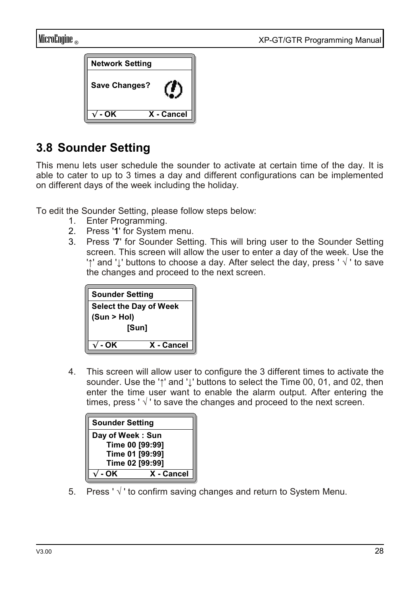

## **3.8 Sounder Setting**

This menu lets user schedule the sounder to activate at certain time of the day. It is able to cater to up to 3 times a day and different configurations can be implemented on different days of the week including the holiday.

To edit the Sounder Setting, please follow steps below:

- 1. Enter Programming.
- 2. Press '**1**' for System menu.
- 3. Press '**7**' for Sounder Setting. This will bring user to the Sounder Setting screen. This screen will allow the user to enter a day of the week. Use the '**↑**' and '**↓**' buttons to choose a day. After select the day, press ' √ ' to save the changes and proceed to the next screen.



4. This screen will allow user to configure the 3 different times to activate the sounder. Use the '**↑**' and '**↓**' buttons to select the Time 00, 01, and 02, then enter the time user want to enable the alarm output. After entering the times, press ' $\sqrt{ }$ ' to save the changes and proceed to the next screen.

| <b>Sounder Setting</b> |            |  |
|------------------------|------------|--|
| Day of Week: Sun       |            |  |
| Time 00 [99:99]        |            |  |
| Time 01 [99:99]        |            |  |
| Time 02 [99:99]        |            |  |
| - OK                   | X - Cancel |  |

5. Press ' $\sqrt{ }$ ' to confirm saving changes and return to System Menu.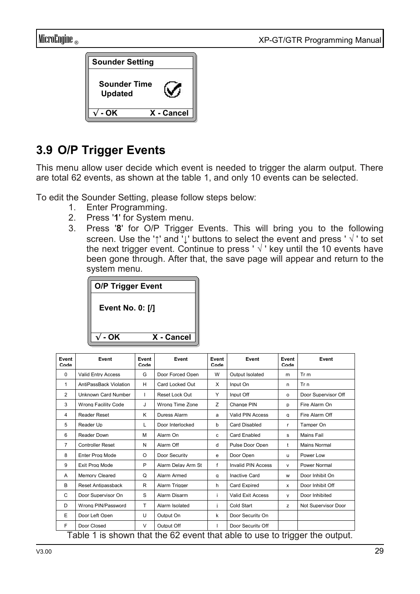



## **3.9 O/P Trigger Events**

This menu allow user decide which event is needed to trigger the alarm output. There are total 62 events, as shown at the table 1, and only 10 events can be selected.

To edit the Sounder Setting, please follow steps below:

- 1. Enter Programming.
- 2. Press '**1**' for System menu.
- 3. Press '**8**' for O/P Trigger Events. This will bring you to the following screen. Use the '**↑**' and '**↓**' buttons to select the event and press ' √ ' to set the next trigger event. Continue to press ' $\sqrt{ }$ ' key until the 10 events have been gone through. After that, the save page will appear and return to the system menu.



| Event<br>Code  | Event                                                                      | Event<br>Code | Event              | Event<br>Code | Event                     | Event<br>Code | Event               |
|----------------|----------------------------------------------------------------------------|---------------|--------------------|---------------|---------------------------|---------------|---------------------|
| 0              | <b>Valid Entry Access</b>                                                  | G             | Door Forced Open   | W             | Output Isolated           | m             | Tr <sub>m</sub>     |
| $\mathbf{1}$   | AntiPassBack Violation                                                     | н             | Card Locked Out    | X             | Input On                  | n             | Tr n                |
| $\overline{2}$ | Unknown Card Number                                                        | т             | Reset Lock Out     | Y             | Input Off                 | $\Omega$      | Door Supervisor Off |
| 3              | Wrong Facility Code                                                        | J             | Wrong Time Zone    | Z             | Change PIN                | D             | Fire Alarm On       |
| 4              | <b>Reader Reset</b>                                                        | Κ             | Duress Alarm       | a             | Valid PIN Access          | a             | Fire Alarm Off      |
| 5              | Reader Up                                                                  | L             | Door Interlocked   | b             | Card Disabled             | r.            | Tamper On           |
| 6              | Reader Down                                                                | M             | Alarm On           | c             | Card Enabled              | s             | Mains Fail          |
| $\overline{7}$ | <b>Controller Reset</b>                                                    | N             | Alarm Off          | d             | Pulse Door Open           | $^{\dagger}$  | Mains Normal        |
| 8              | Enter Prog Mode                                                            | O             | Door Security      | е             | Door Open                 | u             | Power Low           |
| 9              | Exit Prog Mode                                                             | P             | Alarm Delay Arm St | f             | <b>Invalid PIN Access</b> | v             | Power Normal        |
| Α              | <b>Memory Cleared</b>                                                      | Q             | Alarm Armed        | a             | Inactive Card             | W             | Door Inhibit On     |
| B              | Reset Antipassback                                                         | R             | Alarm Trigger      | h             | Card Expired              | x             | Door Inhibit Off    |
| С              | Door Supervisor On                                                         | S             | Alarm Disarm       | i.            | <b>Valid Exit Access</b>  | v             | Door Inhibited      |
| D              | Wrong PIN/Password                                                         | T             | Alarm Isolated     | i.            | Cold Start                | z             | Not Supervisor Door |
| F              | Door Left Open                                                             | U             | Output On          | k             | Door Security On          |               |                     |
| F              | Door Closed                                                                | v             | Output Off         | т             | Door Security Off         |               |                     |
|                | Table 1 is shown that the 62 event that able to use to trigger the output. |               |                    |               |                           |               |                     |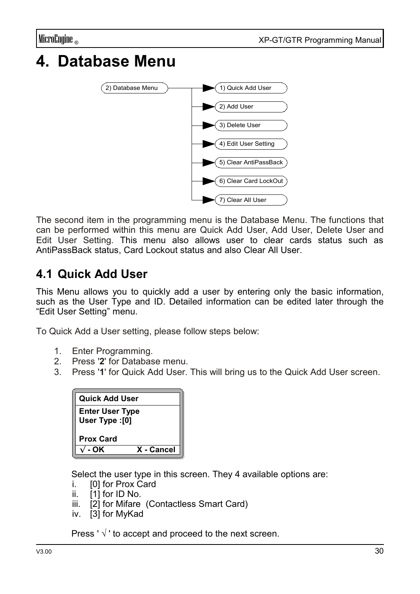# **4. Database Menu**



The second item in the programming menu is the Database Menu. The functions that can be performed within this menu are Quick Add User, Add User, Delete User and Edit User Setting. This menu also allows user to clear cards status such as AntiPassBack status, Card Lockout status and also Clear All User.

## **4.1 Quick Add User**

This Menu allows you to quickly add a user by entering only the basic information, such as the User Type and ID. Detailed information can be edited later through the "Edit User Setting" menu.

To Quick Add a User setting, please follow steps below:

- 1. Enter Programming.
- 2. Press '**2**' for Database menu.
- 3. Press '**1**' for Quick Add User. This will bring us to the Quick Add User screen.

| <b>Quick Add User</b>                    |            |
|------------------------------------------|------------|
| <b>Enter User Type</b><br>User Type :[0] |            |
| <b>Prox Card</b>                         |            |
| . OK                                     | X - Cancel |

Select the user type in this screen. They 4 available options are:

- i. [0] for Prox Card
- ii. [1] for ID No.
- iii. [2] for Mifare (Contactless Smart Card)
- iv. [3] for MyKad

Press ' $\sqrt{ }$ ' to accept and proceed to the next screen.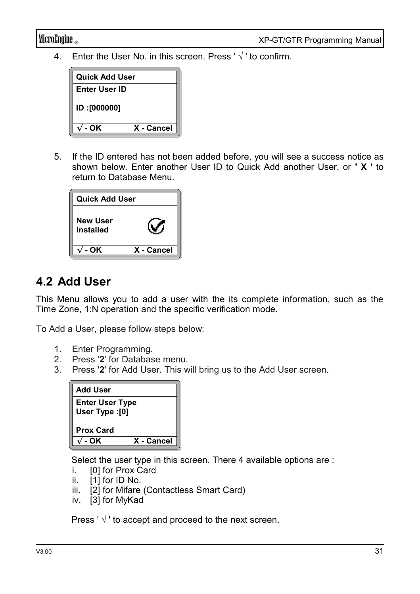4. Enter the User No. in this screen. Press ' $\sqrt{ }$ ' to confirm.



5. If the ID entered has not been added before, you will see a success notice as shown below. Enter another User ID to Quick Add another User, or **' X '** to return to Database Menu.

| <b>Quick Add User</b> |            |
|-----------------------|------------|
| New User<br>Installed |            |
| - OK                  | X - Cancel |

### **4.2 Add User**

This Menu allows you to add a user with the its complete information, such as the Time Zone, 1:N operation and the specific verification mode.

To Add a User, please follow steps below:

- 1. Enter Programming.
- 2. Press '**2**' for Database menu.
- 3. Press '**2**' for Add User. This will bring us to the Add User screen.



Select the user type in this screen. There 4 available options are :

- i. **[0] for Prox Card**
- ii.  $[1]$  for ID No.
- iii. [2] for Mifare (Contactless Smart Card)
- iv. [3] for MyKad

Press ' $\sqrt{ }$ ' to accept and proceed to the next screen.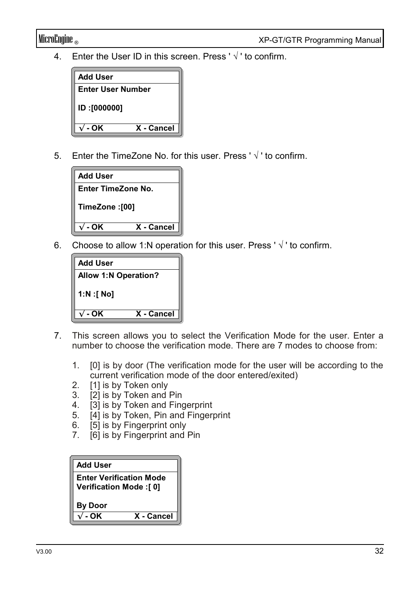4. Enter the User ID in this screen. Press ' $\sqrt{ }$ ' to confirm.



5. Enter the TimeZone No. for this user. Press ' $\sqrt{ }$ ' to confirm.



6. Choose to allow 1:N operation for this user. Press ' $\sqrt{ }$ ' to confirm.

| <b>Add User</b>             |            |
|-----------------------------|------------|
| <b>Allow 1:N Operation?</b> |            |
| $1:N$ : [ No]               |            |
| - OK                        | X - Cancel |

- 7. This screen allows you to select the Verification Mode for the user. Enter a number to choose the verification mode. There are 7 modes to choose from:
	- 1. [0] is by door (The verification mode for the user will be according to the current verification mode of the door entered/exited)
	- 2. [1] is by Token only
	- 3. [2] is by Token and Pin
	- 4. [3] is by Token and Fingerprint
	- 5. [4] is by Token, Pin and Fingerprint
	- 6. [5] is by Fingerprint only
	- 7. [6] is by Fingerprint and Pin

| <b>Add User</b>                                            |            |
|------------------------------------------------------------|------------|
| <b>Enter Verification Mode</b><br>Verification Mode : [ 0] |            |
| <b>By Door</b>                                             |            |
| - OK                                                       | X - Cancel |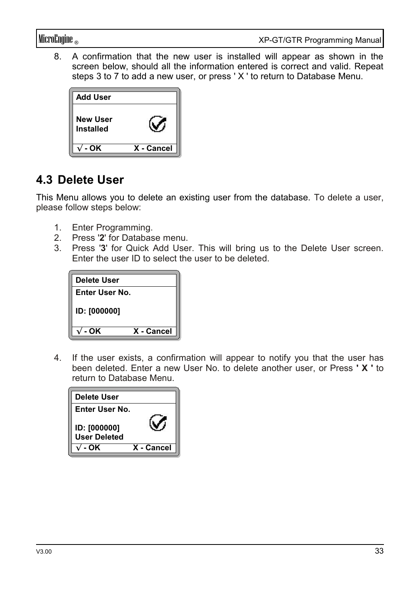8. A confirmation that the new user is installed will appear as shown in the screen below, should all the information entered is correct and valid. Repeat steps 3 to 7 to add a new user, or press ' X ' to return to Database Menu.

| <b>Add User</b>                     |            |
|-------------------------------------|------------|
| <b>New User</b><br><b>Installed</b> |            |
| - OK                                | X - Cancel |

### **4.3 Delete User**

This Menu allows you to delete an existing user from the database. To delete a user, please follow steps below:

- 1. Enter Programming.
- 2. Press '**2**' for Database menu.
- 3. Press '**3**' for Quick Add User. This will bring us to the Delete User screen. Enter the user ID to select the user to be deleted.

| Delete User         |            |
|---------------------|------------|
| Enter User No.      |            |
| <b>ID: [000000]</b> |            |
| - OK                | X - Cancel |

4. If the user exists, a confirmation will appear to notify you that the user has been deleted. Enter a new User No. to delete another user, or Press **' X '** to return to Database Menu.

| Delete User                         |            |
|-------------------------------------|------------|
| Enter User No.                      |            |
| ID: [000000]<br><b>User Deleted</b> |            |
| . OK                                | X - Cancel |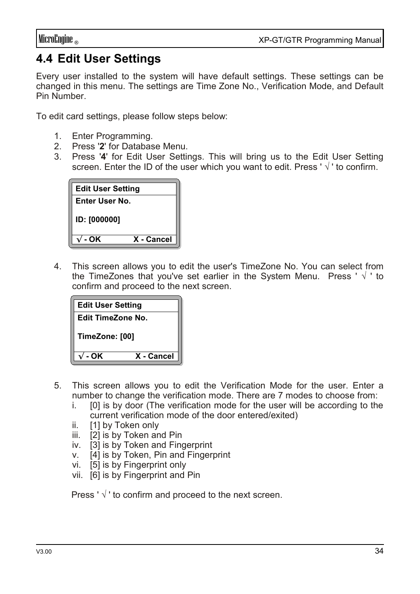## **4.4 Edit User Settings**

Every user installed to the system will have default settings. These settings can be changed in this menu. The settings are Time Zone No., Verification Mode, and Default Pin Number.

To edit card settings, please follow steps below:

- 1. Enter Programming.
- 2. Press '**2**' for Database Menu.
- 3. Press '**4**' for Edit User Settings. This will bring us to the Edit User Setting screen. Enter the ID of the user which you want to edit. Press ' √ ' to confirm.

| <b>Edit User Setting</b> |            |
|--------------------------|------------|
| Enter User No.           |            |
| <b>ID: [000000]</b>      |            |
| - OK                     | X - Cancel |

4. This screen allows you to edit the user's TimeZone No. You can select from the TimeZones that you've set earlier in the System Menu. Press ' $\sqrt{ }$ ' to confirm and proceed to the next screen.

| <b>Edit User Setting</b> |            |
|--------------------------|------------|
| Edit TimeZone No.        |            |
| TimeZone: [00]           |            |
| - OK                     | X - Cancel |

- 5. This screen allows you to edit the Verification Mode for the user. Enter a number to change the verification mode. There are 7 modes to choose from:
	- i. [0] is by door (The verification mode for the user will be according to the current verification mode of the door entered/exited)
	- ii. [1] by Token only
	- iii. [2] is by Token and Pin
	- iv. [3] is by Token and Fingerprint
	- v. [4] is by Token, Pin and Fingerprint
	- vi. [5] is by Fingerprint only
	- vii. [6] is by Fingerprint and Pin

Press ' $\sqrt{ }$ ' to confirm and proceed to the next screen.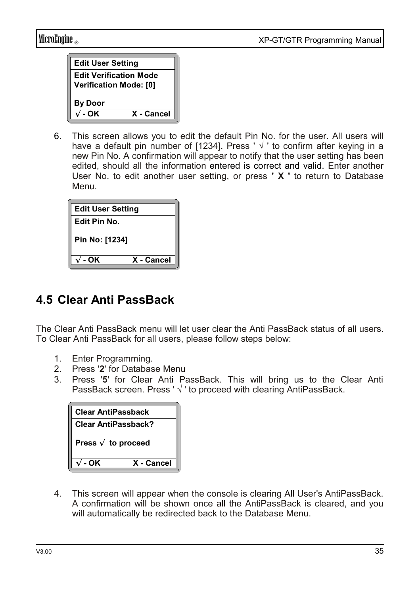| <b>Edit User Setting</b>                                       |            |
|----------------------------------------------------------------|------------|
| <b>Edit Verification Mode</b><br><b>Verification Mode: [0]</b> |            |
| <b>By Door</b>                                                 |            |
| - OK                                                           | X - Cancel |

6. This screen allows you to edit the default Pin No. for the user. All users will have a default pin number of [1234]. Press '  $\sqrt{ }$  ' to confirm after keying in a new Pin No. A confirmation will appear to notify that the user setting has been edited, should all the information entered is correct and valid. Enter another User No. to edit another user setting, or press **' X '** to return to Database Menu.

| <b>Edit User Setting</b> |            |
|--------------------------|------------|
| Edit Pin No.             |            |
| Pin No: [1234]           |            |
| $-OK$                    | X - Cancel |

## **4.5 Clear Anti PassBack**

The Clear Anti PassBack menu will let user clear the Anti PassBack status of all users. To Clear Anti PassBack for all users, please follow steps below:

- 1. Enter Programming.
- 2. Press '**2**' for Database Menu
- 3. Press '**5**' for Clear Anti PassBack. This will bring us to the Clear Anti PassBack screen. Press ' √ ' to proceed with clearing AntiPassBack.

| <b>Clear AntiPassback</b>   |            |
|-----------------------------|------------|
| <b>Clear AntiPassback?</b>  |            |
| Press $\sqrt{ }$ to proceed |            |
| - OK                        | X - Cancel |

4. This screen will appear when the console is clearing All User's AntiPassBack. A confirmation will be shown once all the AntiPassBack is cleared, and you will automatically be redirected back to the Database Menu.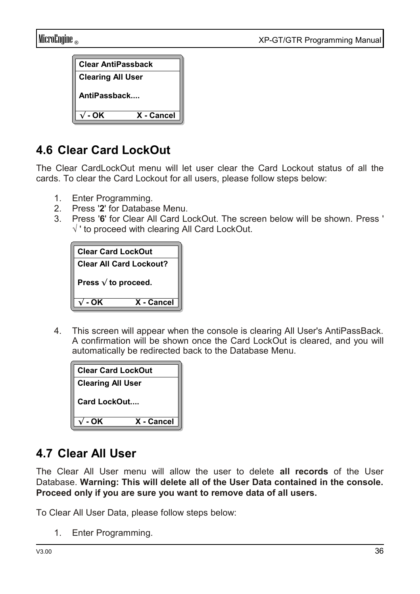| <b>Clear AntiPassback</b> |            |
|---------------------------|------------|
| <b>Clearing All User</b>  |            |
| AntiPassback              |            |
| - OK                      | X - Cancel |

## **4.6 Clear Card LockOut**

The Clear CardLockOut menu will let user clear the Card Lockout status of all the cards. To clear the Card Lockout for all users, please follow steps below:

- 1. Enter Programming.
- 2. Press '**2**' for Database Menu.
- 3. Press '**6**' for Clear All Card LockOut. The screen below will be shown. Press ' √ ' to proceed with clearing All Card LockOut.

| <b>Clear Card LockOut</b>      |            |
|--------------------------------|------------|
| <b>Clear All Card Lockout?</b> |            |
| Press $\sqrt{ }$ to proceed.   |            |
| - OK                           | X - Cancel |

4. This screen will appear when the console is clearing All User's AntiPassBack. A confirmation will be shown once the Card LockOut is cleared, and you will automatically be redirected back to the Database Menu.

| <b>Clear Card LockOut</b> |            |
|---------------------------|------------|
| <b>Clearing All User</b>  |            |
| Card LockOut              |            |
| - OK                      | X - Cancel |

### **4.7 Clear All User**

The Clear All User menu will allow the user to delete **all records** of the User Database. **Warning: This will delete all of the User Data contained in the console. Proceed only if you are sure you want to remove data of all users.**

To Clear All User Data, please follow steps below:

1. Enter Programming.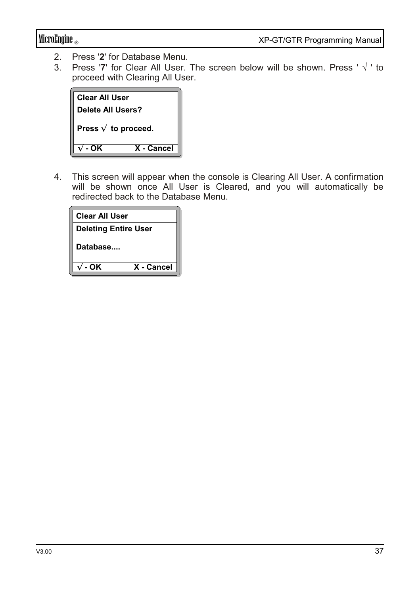- 2. Press '2' for Database Menu.<br>3 Press '7' for Clear All User
- 3. Press '**7**' for Clear All User. The screen below will be shown. Press ' √ ' to proceed with Clearing All User.



4. This screen will appear when the console is Clearing All User. A confirmation will be shown once All User is Cleared, and you will automatically be redirected back to the Database Menu.

| <b>Clear All User</b>       |  |
|-----------------------------|--|
| <b>Deleting Entire User</b> |  |
| Database                    |  |
| X - Cancel<br>- OK          |  |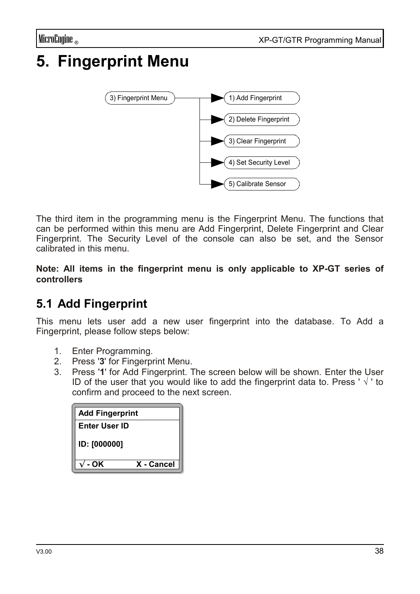# **5. Fingerprint Menu**



The third item in the programming menu is the Fingerprint Menu. The functions that can be performed within this menu are Add Fingerprint, Delete Fingerprint and Clear Fingerprint. The Security Level of the console can also be set, and the Sensor calibrated in this menu.

**Note: All items in the fingerprint menu is only applicable to XP-GT series of controllers**

## **5.1 Add Fingerprint**

This menu lets user add a new user fingerprint into the database. To Add a Fingerprint, please follow steps below:

- 1. Enter Programming.
- 2. Press '**3**' for Fingerprint Menu.
- 3. Press '**1**' for Add Fingerprint. The screen below will be shown. Enter the User ID of the user that you would like to add the fingerprint data to. Press ' $\sqrt{ }$ ' to confirm and proceed to the next screen.

| <b>Add Fingerprint</b> |            |
|------------------------|------------|
| Enter User ID          |            |
| <b>ID: [000000]</b>    |            |
| - OK                   | X - Cancel |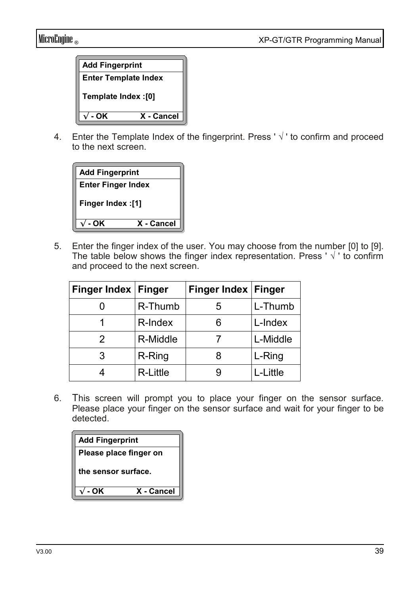

4. Enter the Template Index of the fingerprint. Press ' $\sqrt{ }$ ' to confirm and proceed to the next screen



5. Enter the finger index of the user. You may choose from the number [0] to [9]. The table below shows the finger index representation. Press ' $\sqrt{ }$ ' to confirm and proceed to the next screen.

| Finger Index   Finger |          | Finger Index   Finger |          |
|-----------------------|----------|-----------------------|----------|
|                       | R-Thumb  | 5                     | L-Thumb  |
| 1                     | R-Index  | 6                     | L-Index  |
| 2                     | R-Middle |                       | L-Middle |
| 3                     | R-Ring   | 8                     | L-Ring   |
|                       | R-Little | р                     | L-Little |

6. This screen will prompt you to place your finger on the sensor surface. Please place your finger on the sensor surface and wait for your finger to be detected.

| <b>Add Fingerprint</b> |            |
|------------------------|------------|
| Please place finger on |            |
| the sensor surface.    |            |
| - OK                   | X - Cancel |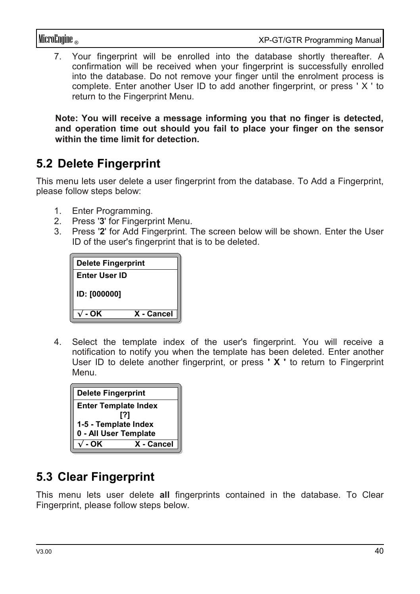7. Your fingerprint will be enrolled into the database shortly thereafter. A confirmation will be received when your fingerprint is successfully enrolled into the database. Do not remove your finger until the enrolment process is complete. Enter another User ID to add another fingerprint, or press ' X ' to return to the Fingerprint Menu.

**Note: You will receive a message informing you that no finger is detected, and operation time out should you fail to place your finger on the sensor within the time limit for detection.** 

## **5.2 Delete Fingerprint**

This menu lets user delete a user fingerprint from the database. To Add a Fingerprint, please follow steps below:

- 1. Enter Programming.
- 2. Press '**3**' for Fingerprint Menu.
- 3. Press '**2**' for Add Fingerprint. The screen below will be shown. Enter the User ID of the user's fingerprint that is to be deleted.

| <b>Delete Fingerprint</b> |            |
|---------------------------|------------|
| <b>Enter User ID</b>      |            |
| <b>ID: [000000]</b>       |            |
| - OK                      | X - Cancel |

4. Select the template index of the user's fingerprint. You will receive a notification to notify you when the template has been deleted. Enter another User ID to delete another fingerprint, or press **' X '** to return to Fingerprint Menu.

| <b>Delete Fingerprint</b>   |            |
|-----------------------------|------------|
| <b>Enter Template Index</b> |            |
| [?]                         |            |
| 1-5 - Template Index        |            |
| 0 - All User Template       |            |
| - OK                        | X - Cancel |

### **5.3 Clear Fingerprint**

This menu lets user delete **all** fingerprints contained in the database. To Clear Fingerprint, please follow steps below.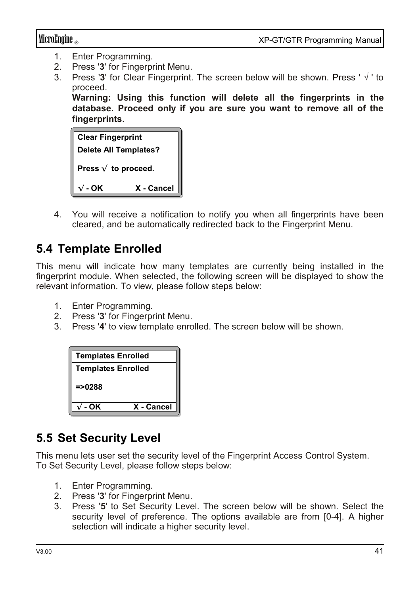- 1. Enter Programming.
- 2. Press '**3**' for Fingerprint Menu.
- 3. Press '**3**' for Clear Fingerprint. The screen below will be shown. Press ' √ ' to proceed.

**Warning: Using this function will delete all the fingerprints in the database. Proceed only if you are sure you want to remove all of the fingerprints.**

| <b>Clear Fingerprint</b>     |            |
|------------------------------|------------|
| <b>Delete All Templates?</b> |            |
| Press $\sqrt{}$ to proceed.  |            |
| - OK                         | X - Cancel |

4. You will receive a notification to notify you when all fingerprints have been cleared, and be automatically redirected back to the Fingerprint Menu.

### **5.4 Template Enrolled**

This menu will indicate how many templates are currently being installed in the fingerprint module. When selected, the following screen will be displayed to show the relevant information. To view, please follow steps below:

- 1. Enter Programming.
- 2. Press '**3**' for Fingerprint Menu.
- 3. Press '**4**' to view template enrolled. The screen below will be shown.

| <b>Templates Enrolled</b> |            |
|---------------------------|------------|
| <b>Templates Enrolled</b> |            |
| $=$ >0288                 |            |
| - OK                      | X - Cancel |

### **5.5 Set Security Level**

This menu lets user set the security level of the Fingerprint Access Control System. To Set Security Level, please follow steps below:

- 1. Enter Programming.
- 2. Press '**3**' for Fingerprint Menu.
- 3. Press '**5**' to Set Security Level. The screen below will be shown. Select the security level of preference. The options available are from [0-4]. A higher selection will indicate a higher security level.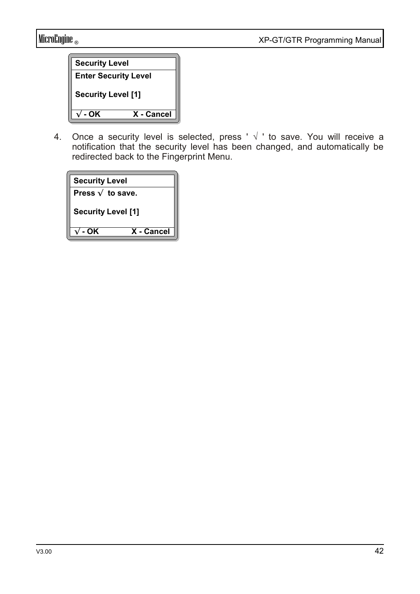| <b>Security Level</b>       |            |
|-----------------------------|------------|
| <b>Enter Security Level</b> |            |
| <b>Security Level [1]</b>   |            |
| - OK                        | X - Cancel |

4. Once a security level is selected, press ' √ ' to save. You will receive a notification that the security level has been changed, and automatically be redirected back to the Fingerprint Menu.

| <b>Security Level</b>     |            |
|---------------------------|------------|
| Press $\sqrt{ }$ to save. |            |
| <b>Security Level [1]</b> |            |
| - OK                      | X - Cancel |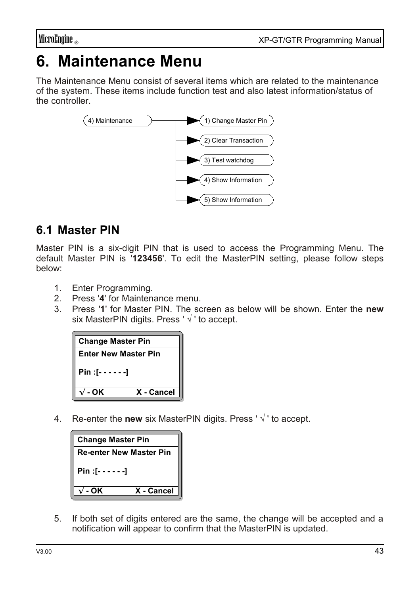# **6. Maintenance Menu**

The Maintenance Menu consist of several items which are related to the maintenance of the system. These items include function test and also latest information/status of the controller.



## **6.1 Master PIN**

Master PIN is a six-digit PIN that is used to access the Programming Menu. The default Master PIN is '**123456**'. To edit the MasterPIN setting, please follow steps below:

- 1. Enter Programming.
- 2. Press '**4**' for Maintenance menu.
- 3. Press '**1**' for Master PIN. The screen as below will be shown. Enter the **new** six MasterPIN digits. Press ' √ ' to accept.

| <b>Change Master Pin</b>    |            |
|-----------------------------|------------|
| <b>Enter New Master Pin</b> |            |
| Pin :[------]               |            |
| - OK                        | X - Cancel |

4. Re-enter the **new** six MasterPIN digits. Press ' √ ' to accept.

| <b>Change Master Pin</b>       |            |
|--------------------------------|------------|
| <b>Re-enter New Master Pin</b> |            |
| $Pin: [- - - - - -]$           |            |
| - OK                           | X - Cancel |

5. If both set of digits entered are the same, the change will be accepted and a notification will appear to confirm that the MasterPIN is updated.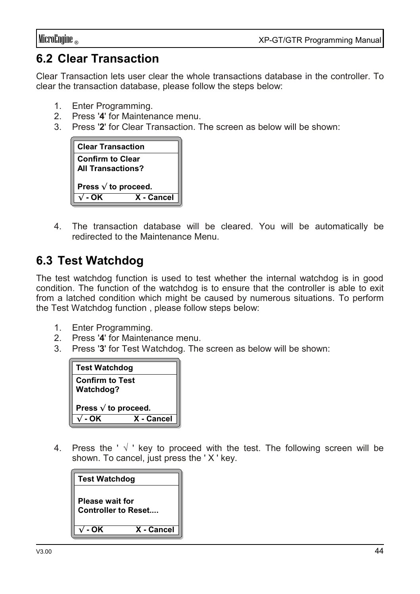## **6.2 Clear Transaction**

Clear Transaction lets user clear the whole transactions database in the controller. To clear the transaction database, please follow the steps below:

- 1. Enter Programming.
- 2. Press '**4**' for Maintenance menu.
- 3. Press '**2**' for Clear Transaction. The screen as below will be shown:



4. The transaction database will be cleared. You will be automatically be redirected to the Maintenance Menu.

## **6.3 Test Watchdog**

The test watchdog function is used to test whether the internal watchdog is in good condition. The function of the watchdog is to ensure that the controller is able to exit from a latched condition which might be caused by numerous situations. To perform the Test Watchdog function , please follow steps below:

- 1. Enter Programming.
- 2. Press '**4**' for Maintenance menu.
- 3. Press '**3**' for Test Watchdog. The screen as below will be shown:

| <b>Test Watchdog</b>                |            |
|-------------------------------------|------------|
| <b>Confirm to Test</b><br>Watchdog? |            |
| Press $\sqrt{ }$ to proceed.        |            |
| ΩK                                  | X - Cancel |

4. Press the ' $\sqrt{ }$ ' key to proceed with the test. The following screen will be shown. To cancel, just press the ' X ' key.

| <b>Test Watchdog</b>                                 |            |
|------------------------------------------------------|------------|
| <b>Please wait for</b><br><b>Controller to Reset</b> |            |
| - OK                                                 | X - Cancel |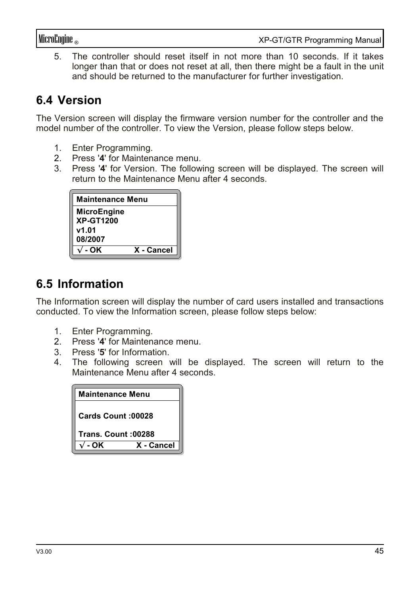5. The controller should reset itself in not more than 10 seconds. If it takes longer than that or does not reset at all, then there might be a fault in the unit and should be returned to the manufacturer for further investigation.

## **6.4 Version**

The Version screen will display the firmware version number for the controller and the model number of the controller. To view the Version, please follow steps below.

- 1. Enter Programming.
- 2. Press '**4**' for Maintenance menu.
- 3. Press '**4**' for Version. The following screen will be displayed. The screen will return to the Maintenance Menu after 4 seconds.

| Maintenance Menu          |            |
|---------------------------|------------|
| MicroEngine               |            |
| <b>XP-GT1200</b><br>v1.01 |            |
| 08/2007                   |            |
| - OK                      | X - Cancel |

## **6.5 Information**

The Information screen will display the number of card users installed and transactions conducted. To view the Information screen, please follow steps below:

- 1. Enter Programming.
- 2. Press '**4**' for Maintenance menu.
- 3. Press '**5**' for Information.
- 4. The following screen will be displayed. The screen will return to the Maintenance Menu after 4 seconds.

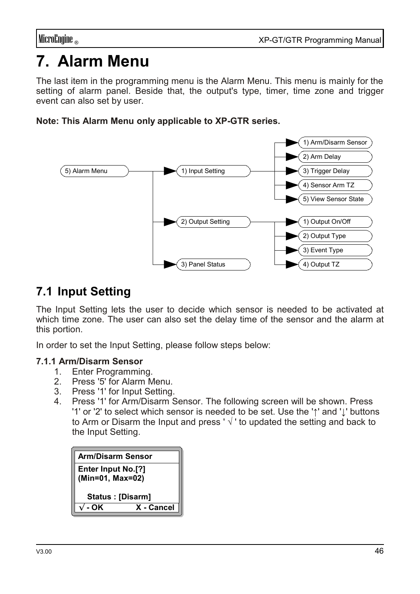# **7. Alarm Menu**

The last item in the programming menu is the Alarm Menu. This menu is mainly for the setting of alarm panel. Beside that, the output's type, timer, time zone and trigger event can also set by user.

#### **Note: This Alarm Menu only applicable to XP-GTR series.**



## **7.1 Input Setting**

The Input Setting lets the user to decide which sensor is needed to be activated at which time zone. The user can also set the delay time of the sensor and the alarm at this portion.

In order to set the Input Setting, please follow steps below:

#### **7.1.1 Arm/Disarm Sensor**

- 1. Enter Programming.
- 2. Press '5' for Alarm Menu.
- 3. Press '1' for Input Setting.
- 4. Press '1' for Arm/Disarm Sensor. The following screen will be shown. Press '1' or '2' to select which sensor is needed to be set. Use the '**↑**' and '**↓**' buttons to Arm or Disarm the Input and press ' √ ' to updated the setting and back to the Input Setting.

| <b>Arm/Disarm Sensor</b>                 |            |
|------------------------------------------|------------|
| Enter Input No.[?]<br>$(Min=01, Max=02)$ |            |
| Status: [Disarm]                         |            |
| - OK                                     | X - Cancel |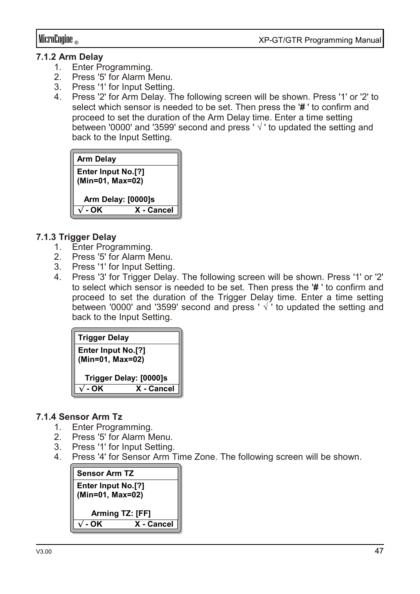#### **7.1.2 Arm Delay**

- 1. Enter Programming.<br>2 Press '5' for Alarm M
- Press '5' for Alarm Menu.
- 3. Press '1' for Input Setting.
- 4. Press '2' for Arm Delay. The following screen will be shown. Press '1' or '2' to select which sensor is needed to be set. Then press the '**#** ' to confirm and proceed to set the duration of the Arm Delay time. Enter a time setting between '0000' and '3599' second and press ' √ ' to updated the setting and back to the Input Setting.



#### **7.1.3 Trigger Delay**

- 1. Enter Programming.
- 2. Press '5' for Alarm Menu.
- 3. Press '1' for Input Setting.
- 4. Press '3' for Trigger Delay. The following screen will be shown. Press '1' or '2' to select which sensor is needed to be set. Then press the '**#** ' to confirm and proceed to set the duration of the Trigger Delay time. Enter a time setting between '0000' and '3599' second and press ' $\sqrt{ }$ ' to updated the setting and back to the Input Setting.

| <b>Trigger Delay</b>                   |            |  |
|----------------------------------------|------------|--|
| Enter Input No.[?]<br>(Min=01, Max=02) |            |  |
| Trigger Delay: [0000]s                 |            |  |
| - OK                                   | X - Cancel |  |

#### **7.1.4 Sensor Arm Tz**

- 1. Enter Programming.
- 2. Press '5' for Alarm Menu.
- 3. Press '1' for Input Setting.
- 4. Press '4' for Sensor Arm Time Zone. The following screen will be shown.

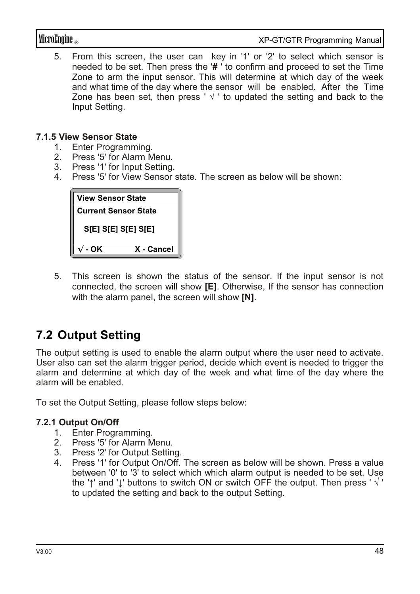MicroEngine ® XP-GT/GTR Programming Manual

5. From this screen, the user can key in '1' or '2' to select which sensor is needed to be set. Then press the '**#** ' to confirm and proceed to set the Time Zone to arm the input sensor. This will determine at which day of the week and what time of the day where the sensor will be enabled. After the Time Zone has been set, then press '  $\sqrt{ }$ ' to updated the setting and back to the Input Setting.

#### **7.1.5 View Sensor State**

- 1. Enter Programming.<br>2 Press '5' for Alarm M
- Press '5' for Alarm Menu.
- 3. Press '1' for Input Setting.
- 4. Press '5' for View Sensor state. The screen as below will be shown:



5. This screen is shown the status of the sensor. If the input sensor is not connected, the screen will show **[E]**. Otherwise, If the sensor has connection with the alarm panel, the screen will show **[N]**.

## **7.2 Output Setting**

The output setting is used to enable the alarm output where the user need to activate. User also can set the alarm trigger period, decide which event is needed to trigger the alarm and determine at which day of the week and what time of the day where the alarm will be enabled.

To set the Output Setting, please follow steps below:

#### **7.2.1 Output On/Off**

- 1. Enter Programming.
- 2. Press '5' for Alarm Menu.
- 3. Press '2' for Output Setting.
- 4. Press '1' for Output On/Off. The screen as below will be shown. Press a value between '0' to '3' to select which which alarm output is needed to be set. Use the '**↑**' and '**↓**' buttons to switch ON or switch OFF the output. Then press ' √ ' to updated the setting and back to the output Setting.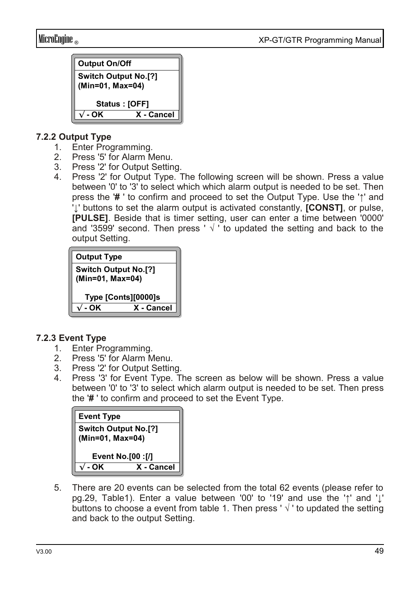

#### **7.2.2 Output Type**

- 1. Enter Programming.
- 2. Press '5' for Alarm Menu.
- 3. Press '2' for Output Setting.
- 4. Press '2' for Output Type. The following screen will be shown. Press a value between '0' to '3' to select which which alarm output is needed to be set. Then press the '**#** ' to confirm and proceed to set the Output Type. Use the '**↑**' and '**↓**' buttons to set the alarm output is activated constantly, **[CONST]**, or pulse, **[PULSE]**. Beside that is timer setting, user can enter a time between '0000' and '3599' second. Then press ' √ ' to updated the setting and back to the output Setting.



#### **7.2.3 Event Type**

- 1. Enter Programming.
- 2. Press '5' for Alarm Menu.
- 3. Press '2' for Output Setting.
- 4. Press '3' for Event Type. The screen as below will be shown. Press a value between '0' to '3' to select which alarm output is needed to be set. Then press the '**#** ' to confirm and proceed to set the Event Type.

| <b>Event Type</b>                               |            |  |
|-------------------------------------------------|------------|--|
| <b>Switch Output No.[?]</b><br>(Min=01, Max=04) |            |  |
| <b>Event No.[00 :[/]</b>                        |            |  |
| ΩK                                              | X - Cancel |  |

5. There are 20 events can be selected from the total 62 events (please refer to pg.29, Table1). Enter a value between '00' to '19' and use the '**↑**' and '**↓**' buttons to choose a event from table 1. Then press ' $\sqrt{ }$ ' to updated the setting and back to the output Setting.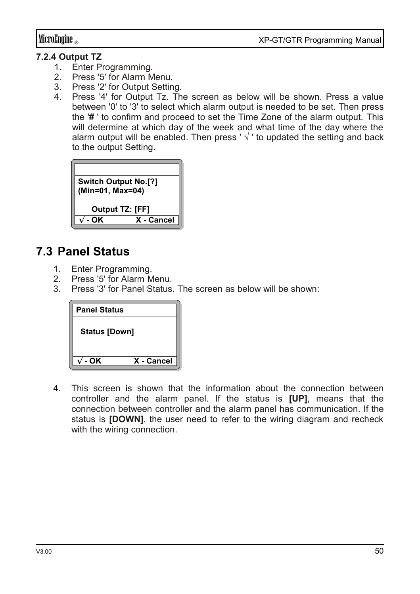#### **7.2.4 Output TZ**

- 1. Enter Programming.<br>2 Press '5' for Alarm M
- Press '5' for Alarm Menu.
- 3. Press '2' for Output Setting.
- 4. Press '4' for Output Tz. The screen as below will be shown. Press a value between '0' to '3' to select which alarm output is needed to be set. Then press the '**#** ' to confirm and proceed to set the Time Zone of the alarm output. This will determine at which day of the week and what time of the day where the alarm output will be enabled. Then press ' $\sqrt{ }$ ' to updated the setting and back to the output Setting.



### **7.3 Panel Status**

- 1. Enter Programming.<br>2 Press '5' for Alarm M
- Press '5' for Alarm Menu.
- 3. Press '3' for Panel Status. The screen as below will be shown:



4. This screen is shown that the information about the connection between controller and the alarm panel. If the status is **[UP]**, means that the connection between controller and the alarm panel has communication. If the status is **[DOWN]**, the user need to refer to the wiring diagram and recheck with the wiring connection.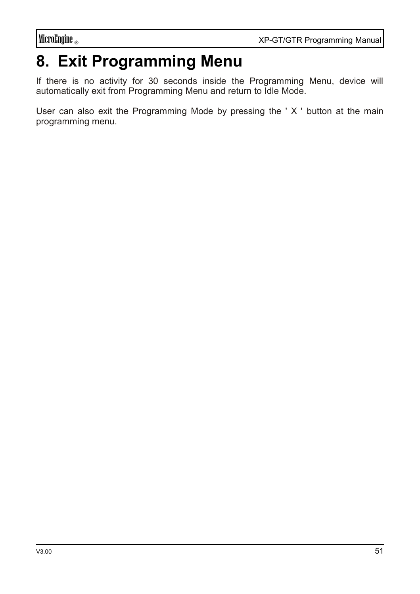# **8. Exit Programming Menu**

If there is no activity for 30 seconds inside the Programming Menu, device will automatically exit from Programming Menu and return to Idle Mode.

User can also exit the Programming Mode by pressing the ' X ' button at the main programming menu.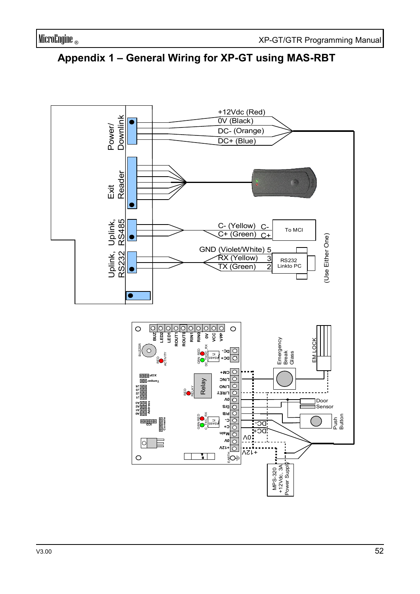

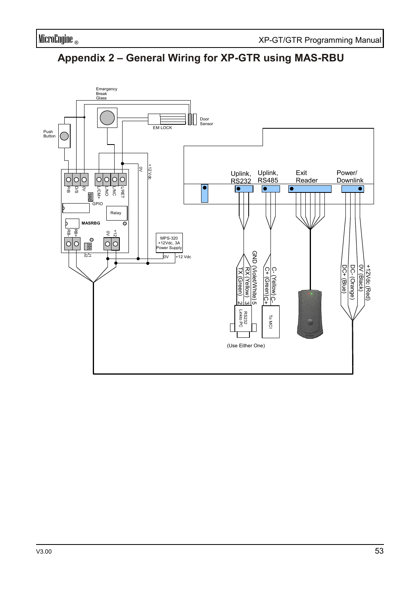

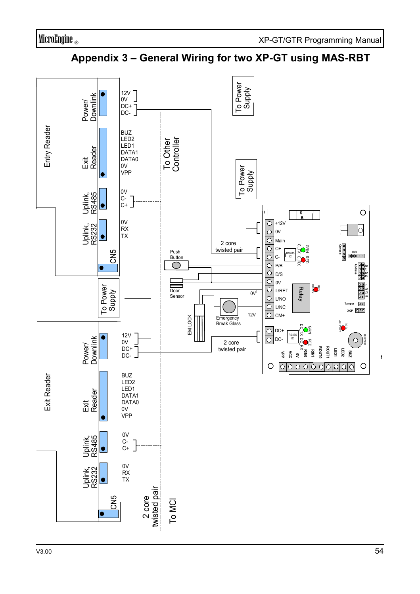

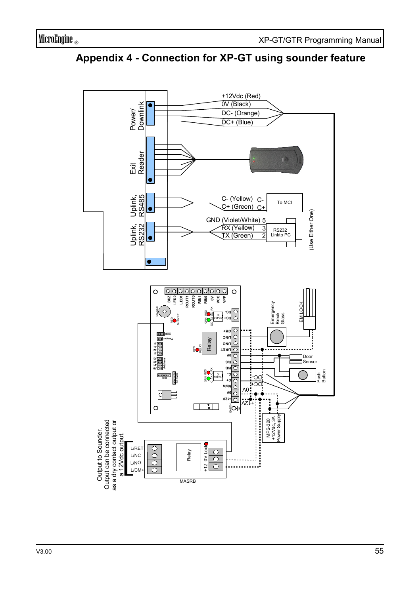

**Appendix 4 - Connection for XP-GT using sounder feature**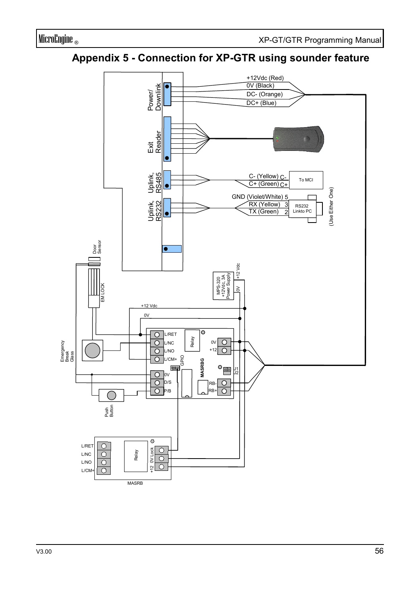#### **Appendix 5 - Connection for XP-GTR using sounder feature**

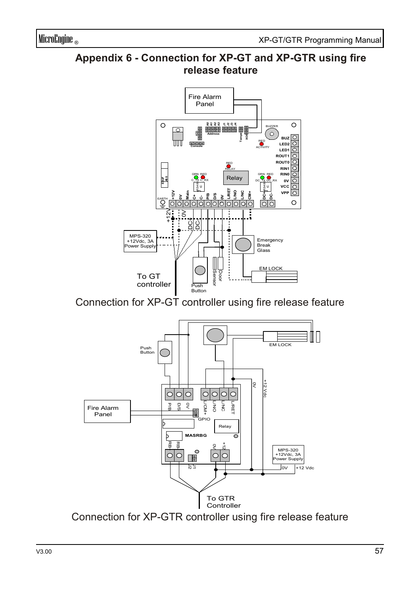#### **Appendix 6 - Connection for XP-GT and XP-GTR using fire release feature**



Connection for XP-GT controller using fire release feature